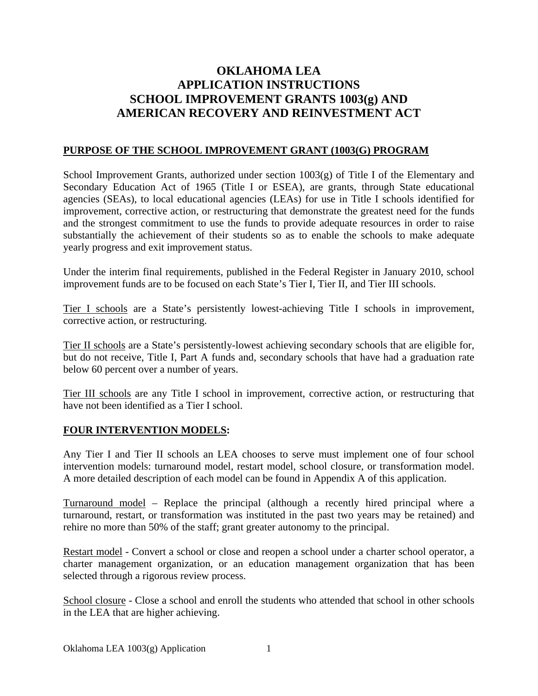# **OKLAHOMA LEA APPLICATION INSTRUCTIONS SCHOOL IMPROVEMENT GRANTS 1003(g) AND AMERICAN RECOVERY AND REINVESTMENT ACT**

#### **PURPOSE OF THE SCHOOL IMPROVEMENT GRANT (1003(G) PROGRAM**

School Improvement Grants, authorized under section  $1003(g)$  of Title I of the Elementary and Secondary Education Act of 1965 (Title I or ESEA), are grants, through State educational agencies (SEAs), to local educational agencies (LEAs) for use in Title I schools identified for improvement, corrective action, or restructuring that demonstrate the greatest need for the funds and the strongest commitment to use the funds to provide adequate resources in order to raise substantially the achievement of their students so as to enable the schools to make adequate yearly progress and exit improvement status.

Under the interim final requirements, published in the Federal Register in January 2010, school improvement funds are to be focused on each State's Tier I, Tier II, and Tier III schools.

Tier I schools are a State's persistently lowest-achieving Title I schools in improvement, corrective action, or restructuring.

Tier II schools are a State's persistently-lowest achieving secondary schools that are eligible for, but do not receive, Title I, Part A funds and, secondary schools that have had a graduation rate below 60 percent over a number of years.

Tier III schools are any Title I school in improvement, corrective action, or restructuring that have not been identified as a Tier I school.

#### **FOUR INTERVENTION MODELS:**

Any Tier I and Tier II schools an LEA chooses to serve must implement one of four school intervention models: turnaround model, restart model, school closure, or transformation model. A more detailed description of each model can be found in Appendix A of this application.

Turnaround model – Replace the principal (although a recently hired principal where a turnaround, restart, or transformation was instituted in the past two years may be retained) and rehire no more than 50% of the staff; grant greater autonomy to the principal.

Restart model - Convert a school or close and reopen a school under a charter school operator, a charter management organization, or an education management organization that has been selected through a rigorous review process.

School closure - Close a school and enroll the students who attended that school in other schools in the LEA that are higher achieving.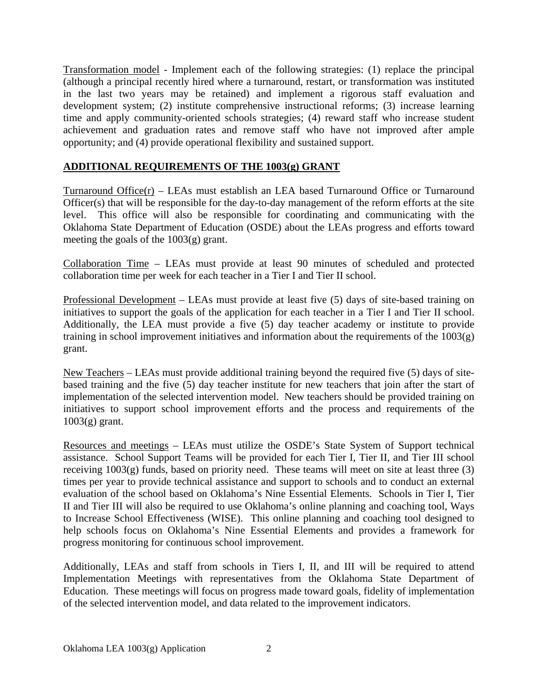Transformation model - Implement each of the following strategies: (1) replace the principal (although a principal recently hired where a turnaround, restart, or transformation was instituted in the last two years may be retained) and implement a rigorous staff evaluation and development system; (2) institute comprehensive instructional reforms; (3) increase learning time and apply community-oriented schools strategies; (4) reward staff who increase student achievement and graduation rates and remove staff who have not improved after ample opportunity; and (4) provide operational flexibility and sustained support.

### **ADDITIONAL REQUIREMENTS OF THE 1003(g) GRANT**

Turnaround Office(r) – LEAs must establish an LEA based Turnaround Office or Turnaround Officer(s) that will be responsible for the day-to-day management of the reform efforts at the site level. This office will also be responsible for coordinating and communicating with the Oklahoma State Department of Education (OSDE) about the LEAs progress and efforts toward meeting the goals of the 1003(g) grant.

Collaboration Time – LEAs must provide at least 90 minutes of scheduled and protected collaboration time per week for each teacher in a Tier I and Tier II school.

Professional Development – LEAs must provide at least five (5) days of site-based training on initiatives to support the goals of the application for each teacher in a Tier I and Tier II school. Additionally, the LEA must provide a five (5) day teacher academy or institute to provide training in school improvement initiatives and information about the requirements of the  $1003(g)$ grant.

New Teachers – LEAs must provide additional training beyond the required five (5) days of sitebased training and the five (5) day teacher institute for new teachers that join after the start of implementation of the selected intervention model. New teachers should be provided training on initiatives to support school improvement efforts and the process and requirements of the  $1003(g)$  grant.

Resources and meetings – LEAs must utilize the OSDE's State System of Support technical assistance. School Support Teams will be provided for each Tier I, Tier II, and Tier III school receiving 1003(g) funds, based on priority need. These teams will meet on site at least three (3) times per year to provide technical assistance and support to schools and to conduct an external evaluation of the school based on Oklahoma's Nine Essential Elements. Schools in Tier I, Tier II and Tier III will also be required to use Oklahoma's online planning and coaching tool, Ways to Increase School Effectiveness (WISE). This online planning and coaching tool designed to help schools focus on Oklahoma's Nine Essential Elements and provides a framework for progress monitoring for continuous school improvement.

Additionally, LEAs and staff from schools in Tiers I, II, and III will be required to attend Implementation Meetings with representatives from the Oklahoma State Department of Education. These meetings will focus on progress made toward goals, fidelity of implementation of the selected intervention model, and data related to the improvement indicators.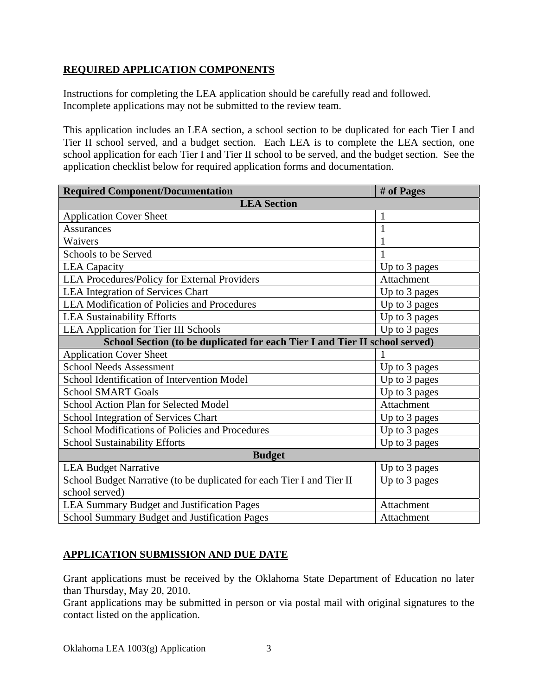## **REQUIRED APPLICATION COMPONENTS**

Instructions for completing the LEA application should be carefully read and followed. Incomplete applications may not be submitted to the review team.

This application includes an LEA section, a school section to be duplicated for each Tier I and Tier II school served, and a budget section. Each LEA is to complete the LEA section, one school application for each Tier I and Tier II school to be served, and the budget section. See the application checklist below for required application forms and documentation.

| <b>Required Component/Documentation</b>                                     | # of Pages    |  |  |
|-----------------------------------------------------------------------------|---------------|--|--|
| <b>LEA</b> Section                                                          |               |  |  |
| <b>Application Cover Sheet</b>                                              | $\mathbf{1}$  |  |  |
| <b>Assurances</b>                                                           | $\mathbf{1}$  |  |  |
| Waivers                                                                     | 1             |  |  |
| Schools to be Served                                                        |               |  |  |
| <b>LEA</b> Capacity                                                         | Up to 3 pages |  |  |
| LEA Procedures/Policy for External Providers                                | Attachment    |  |  |
| <b>LEA Integration of Services Chart</b>                                    | Up to 3 pages |  |  |
| <b>LEA Modification of Policies and Procedures</b>                          | Up to 3 pages |  |  |
| <b>LEA Sustainability Efforts</b>                                           | Up to 3 pages |  |  |
| LEA Application for Tier III Schools                                        | Up to 3 pages |  |  |
| School Section (to be duplicated for each Tier I and Tier II school served) |               |  |  |
| <b>Application Cover Sheet</b>                                              |               |  |  |
| <b>School Needs Assessment</b>                                              | Up to 3 pages |  |  |
| School Identification of Intervention Model                                 | Up to 3 pages |  |  |
| <b>School SMART Goals</b>                                                   | Up to 3 pages |  |  |
| School Action Plan for Selected Model                                       | Attachment    |  |  |
| School Integration of Services Chart                                        | Up to 3 pages |  |  |
| School Modifications of Policies and Procedures                             | Up to 3 pages |  |  |
| <b>School Sustainability Efforts</b>                                        | Up to 3 pages |  |  |
| <b>Budget</b>                                                               |               |  |  |
| <b>LEA Budget Narrative</b>                                                 | Up to 3 pages |  |  |
| School Budget Narrative (to be duplicated for each Tier I and Tier II       | Up to 3 pages |  |  |
| school served)                                                              |               |  |  |
| <b>LEA Summary Budget and Justification Pages</b>                           | Attachment    |  |  |
| School Summary Budget and Justification Pages                               | Attachment    |  |  |

# **APPLICATION SUBMISSION AND DUE DATE**

Grant applications must be received by the Oklahoma State Department of Education no later than Thursday, May 20, 2010.

Grant applications may be submitted in person or via postal mail with original signatures to the contact listed on the application.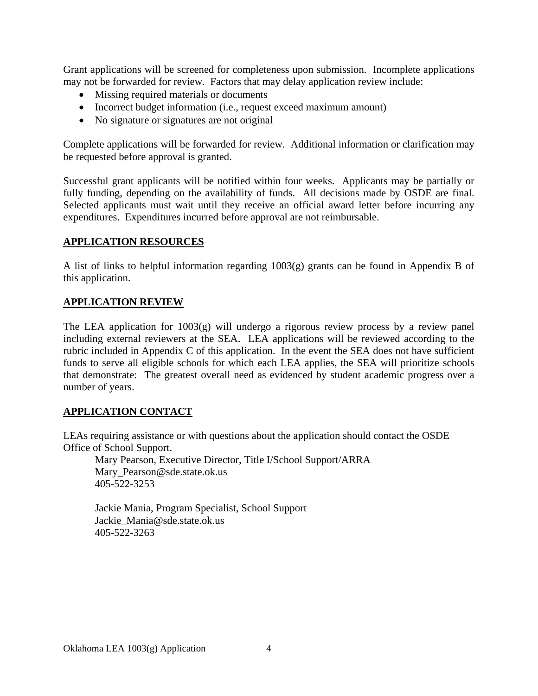Grant applications will be screened for completeness upon submission. Incomplete applications may not be forwarded for review. Factors that may delay application review include:

- Missing required materials or documents
- Incorrect budget information (i.e., request exceed maximum amount)
- No signature or signatures are not original

Complete applications will be forwarded for review. Additional information or clarification may be requested before approval is granted.

Successful grant applicants will be notified within four weeks. Applicants may be partially or fully funding, depending on the availability of funds. All decisions made by OSDE are final. Selected applicants must wait until they receive an official award letter before incurring any expenditures. Expenditures incurred before approval are not reimbursable.

## **APPLICATION RESOURCES**

A list of links to helpful information regarding 1003(g) grants can be found in Appendix B of this application.

#### **APPLICATION REVIEW**

The LEA application for  $1003(g)$  will undergo a rigorous review process by a review panel including external reviewers at the SEA. LEA applications will be reviewed according to the rubric included in Appendix C of this application. In the event the SEA does not have sufficient funds to serve all eligible schools for which each LEA applies, the SEA will prioritize schools that demonstrate: The greatest overall need as evidenced by student academic progress over a number of years.

#### **APPLICATION CONTACT**

LEAs requiring assistance or with questions about the application should contact the OSDE Office of School Support.

Mary Pearson, Executive Director, Title I/School Support/ARRA Mary Pearson@sde.state.ok.us 405-522-3253

Jackie Mania, Program Specialist, School Support Jackie\_Mania@sde.state.ok.us 405-522-3263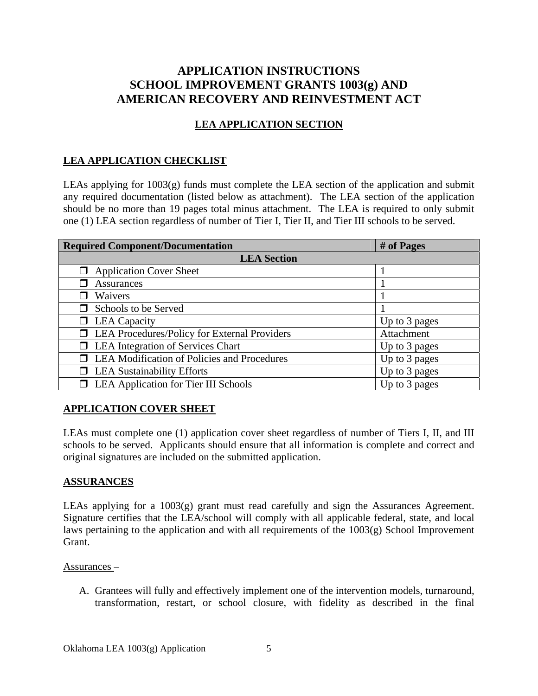# **APPLICATION INSTRUCTIONS SCHOOL IMPROVEMENT GRANTS 1003(g) AND AMERICAN RECOVERY AND REINVESTMENT ACT**

# **LEA APPLICATION SECTION**

### **LEA APPLICATION CHECKLIST**

LEAs applying for 1003(g) funds must complete the LEA section of the application and submit any required documentation (listed below as attachment). The LEA section of the application should be no more than 19 pages total minus attachment. The LEA is required to only submit one (1) LEA section regardless of number of Tier I, Tier II, and Tier III schools to be served.

| <b>Required Component/Documentation</b>               | # of Pages    |  |  |  |  |
|-------------------------------------------------------|---------------|--|--|--|--|
| <b>LEA</b> Section                                    |               |  |  |  |  |
| <b>Application Cover Sheet</b><br>□                   |               |  |  |  |  |
| <b>Assurances</b>                                     |               |  |  |  |  |
| Waivers                                               |               |  |  |  |  |
| Schools to be Served<br>П                             |               |  |  |  |  |
| $\Box$ LEA Capacity                                   | Up to 3 pages |  |  |  |  |
| <b>I</b> LEA Procedures/Policy for External Providers | Attachment    |  |  |  |  |
| <b>I</b> LEA Integration of Services Chart            | Up to 3 pages |  |  |  |  |
| <b>LEA Modification of Policies and Procedures</b>    | Up to 3 pages |  |  |  |  |
| $\Box$ LEA Sustainability Efforts                     | Up to 3 pages |  |  |  |  |
| LEA Application for Tier III Schools<br>$\Box$        | Up to 3 pages |  |  |  |  |

#### **APPLICATION COVER SHEET**

LEAs must complete one (1) application cover sheet regardless of number of Tiers I, II, and III schools to be served. Applicants should ensure that all information is complete and correct and original signatures are included on the submitted application.

#### **ASSURANCES**

LEAs applying for a 1003(g) grant must read carefully and sign the Assurances Agreement. Signature certifies that the LEA/school will comply with all applicable federal, state, and local laws pertaining to the application and with all requirements of the 1003(g) School Improvement Grant.

#### Assurances –

A. Grantees will fully and effectively implement one of the intervention models, turnaround, transformation, restart, or school closure, with fidelity as described in the final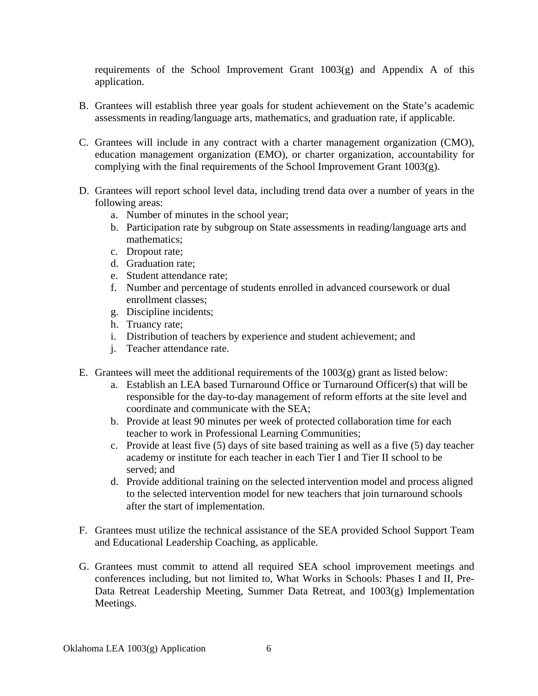requirements of the School Improvement Grant 1003(g) and Appendix A of this application.

- B. Grantees will establish three year goals for student achievement on the State's academic assessments in reading/language arts, mathematics, and graduation rate, if applicable.
- C. Grantees will include in any contract with a charter management organization (CMO), education management organization (EMO), or charter organization, accountability for complying with the final requirements of the School Improvement Grant 1003(g).
- D. Grantees will report school level data, including trend data over a number of years in the following areas:
	- a. Number of minutes in the school year;
	- b. Participation rate by subgroup on State assessments in reading/language arts and mathematics;
	- c. Dropout rate;
	- d. Graduation rate;
	- e. Student attendance rate;
	- f. Number and percentage of students enrolled in advanced coursework or dual enrollment classes;
	- g. Discipline incidents;
	- h. Truancy rate;
	- i. Distribution of teachers by experience and student achievement; and
	- j. Teacher attendance rate.
- E. Grantees will meet the additional requirements of the  $1003(g)$  grant as listed below:
	- a. Establish an LEA based Turnaround Office or Turnaround Officer(s) that will be responsible for the day-to-day management of reform efforts at the site level and coordinate and communicate with the SEA;
	- b. Provide at least 90 minutes per week of protected collaboration time for each teacher to work in Professional Learning Communities;
	- c. Provide at least five (5) days of site based training as well as a five (5) day teacher academy or institute for each teacher in each Tier I and Tier II school to be served; and
	- d. Provide additional training on the selected intervention model and process aligned to the selected intervention model for new teachers that join turnaround schools after the start of implementation.
- F. Grantees must utilize the technical assistance of the SEA provided School Support Team and Educational Leadership Coaching, as applicable.
- G. Grantees must commit to attend all required SEA school improvement meetings and conferences including, but not limited to, What Works in Schools: Phases I and II, Pre-Data Retreat Leadership Meeting, Summer Data Retreat, and 1003(g) Implementation Meetings.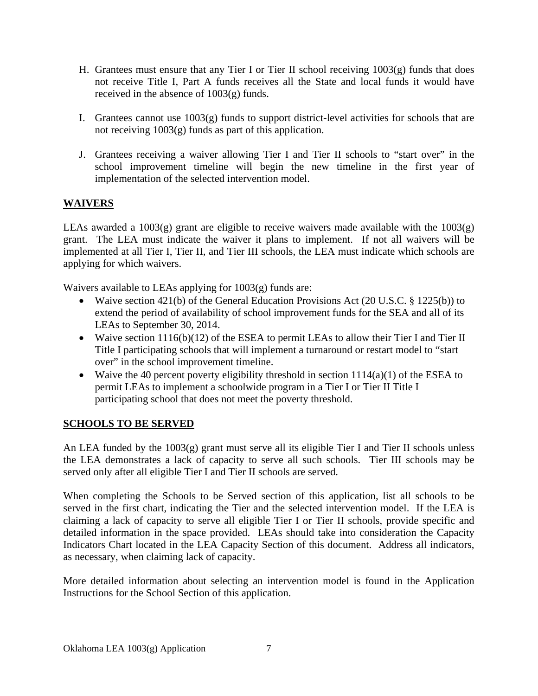- H. Grantees must ensure that any Tier I or Tier II school receiving  $1003(g)$  funds that does not receive Title I, Part A funds receives all the State and local funds it would have received in the absence of 1003(g) funds.
- I. Grantees cannot use 1003(g) funds to support district-level activities for schools that are not receiving 1003(g) funds as part of this application.
- J. Grantees receiving a waiver allowing Tier I and Tier II schools to "start over" in the school improvement timeline will begin the new timeline in the first year of implementation of the selected intervention model.

# **WAIVERS**

LEAs awarded a  $1003(g)$  grant are eligible to receive waivers made available with the  $1003(g)$ grant. The LEA must indicate the waiver it plans to implement. If not all waivers will be implemented at all Tier I, Tier II, and Tier III schools, the LEA must indicate which schools are applying for which waivers.

Waivers available to LEAs applying for 1003(g) funds are:

- Waive section 421(b) of the General Education Provisions Act (20 U.S.C. § 1225(b)) to extend the period of availability of school improvement funds for the SEA and all of its LEAs to September 30, 2014.
- Waive section 1116(b)(12) of the ESEA to permit LEAs to allow their Tier I and Tier II Title I participating schools that will implement a turnaround or restart model to "start over" in the school improvement timeline.
- Waive the 40 percent poverty eligibility threshold in section  $1114(a)(1)$  of the ESEA to permit LEAs to implement a schoolwide program in a Tier I or Tier II Title I participating school that does not meet the poverty threshold.

# **SCHOOLS TO BE SERVED**

An LEA funded by the 1003(g) grant must serve all its eligible Tier I and Tier II schools unless the LEA demonstrates a lack of capacity to serve all such schools. Tier III schools may be served only after all eligible Tier I and Tier II schools are served.

When completing the Schools to be Served section of this application, list all schools to be served in the first chart, indicating the Tier and the selected intervention model. If the LEA is claiming a lack of capacity to serve all eligible Tier I or Tier II schools, provide specific and detailed information in the space provided. LEAs should take into consideration the Capacity Indicators Chart located in the LEA Capacity Section of this document. Address all indicators, as necessary, when claiming lack of capacity.

More detailed information about selecting an intervention model is found in the Application Instructions for the School Section of this application.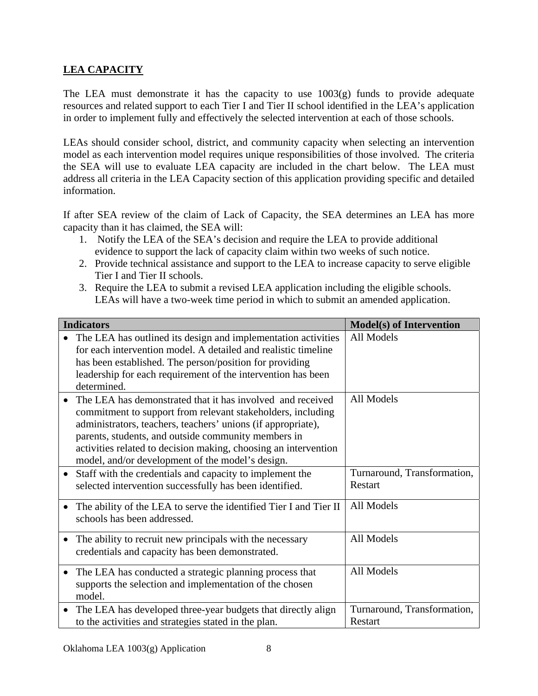# **LEA CAPACITY**

The LEA must demonstrate it has the capacity to use  $1003(g)$  funds to provide adequate resources and related support to each Tier I and Tier II school identified in the LEA's application in order to implement fully and effectively the selected intervention at each of those schools.

LEAs should consider school, district, and community capacity when selecting an intervention model as each intervention model requires unique responsibilities of those involved. The criteria the SEA will use to evaluate LEA capacity are included in the chart below. The LEA must address all criteria in the LEA Capacity section of this application providing specific and detailed information.

If after SEA review of the claim of Lack of Capacity, the SEA determines an LEA has more capacity than it has claimed, the SEA will:

- 1. Notify the LEA of the SEA's decision and require the LEA to provide additional evidence to support the lack of capacity claim within two weeks of such notice.
- 2. Provide technical assistance and support to the LEA to increase capacity to serve eligible Tier I and Tier II schools.
- 3. Require the LEA to submit a revised LEA application including the eligible schools. LEAs will have a two-week time period in which to submit an amended application.

| <b>Indicators</b>                                                                                                                                                                                                                                                                                                                                                       | <b>Model(s) of Intervention</b>        |
|-------------------------------------------------------------------------------------------------------------------------------------------------------------------------------------------------------------------------------------------------------------------------------------------------------------------------------------------------------------------------|----------------------------------------|
| The LEA has outlined its design and implementation activities<br>for each intervention model. A detailed and realistic timeline<br>has been established. The person/position for providing<br>leadership for each requirement of the intervention has been<br>determined.                                                                                               | All Models                             |
| The LEA has demonstrated that it has involved and received<br>commitment to support from relevant stakeholders, including<br>administrators, teachers, teachers' unions (if appropriate),<br>parents, students, and outside community members in<br>activities related to decision making, choosing an intervention<br>model, and/or development of the model's design. | All Models                             |
| Staff with the credentials and capacity to implement the<br>$\bullet$<br>selected intervention successfully has been identified.                                                                                                                                                                                                                                        | Turnaround, Transformation,<br>Restart |
| The ability of the LEA to serve the identified Tier I and Tier II<br>schools has been addressed.                                                                                                                                                                                                                                                                        | All Models                             |
| The ability to recruit new principals with the necessary<br>$\bullet$<br>credentials and capacity has been demonstrated.                                                                                                                                                                                                                                                | All Models                             |
| The LEA has conducted a strategic planning process that<br>$\bullet$<br>supports the selection and implementation of the chosen<br>model.                                                                                                                                                                                                                               | All Models                             |
| The LEA has developed three-year budgets that directly align<br>$\bullet$<br>to the activities and strategies stated in the plan.                                                                                                                                                                                                                                       | Turnaround, Transformation,<br>Restart |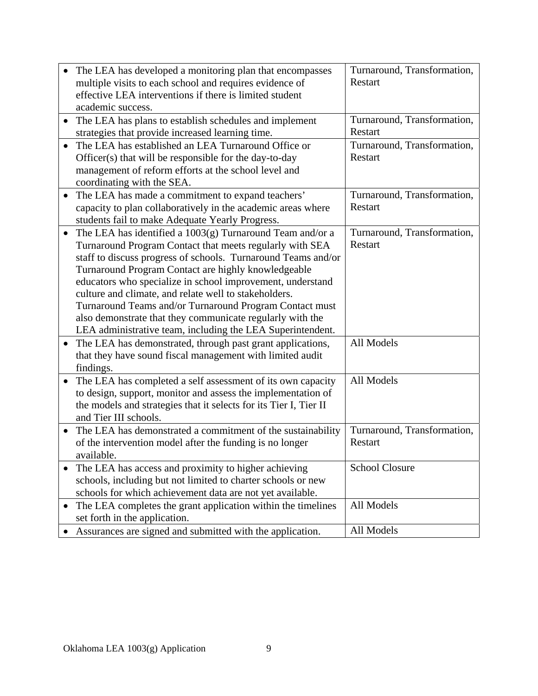| The LEA has developed a monitoring plan that encompasses<br>multiple visits to each school and requires evidence of<br>effective LEA interventions if there is limited student<br>academic success.                                                                                                                                                                                                                                                                                                                                                                     | Turnaround, Transformation,<br>Restart        |
|-------------------------------------------------------------------------------------------------------------------------------------------------------------------------------------------------------------------------------------------------------------------------------------------------------------------------------------------------------------------------------------------------------------------------------------------------------------------------------------------------------------------------------------------------------------------------|-----------------------------------------------|
| The LEA has plans to establish schedules and implement<br>strategies that provide increased learning time.                                                                                                                                                                                                                                                                                                                                                                                                                                                              | Turnaround, Transformation,<br>Restart        |
| The LEA has established an LEA Turnaround Office or<br>Officer(s) that will be responsible for the day-to-day<br>management of reform efforts at the school level and<br>coordinating with the SEA.                                                                                                                                                                                                                                                                                                                                                                     | Turnaround, Transformation,<br>Restart        |
| The LEA has made a commitment to expand teachers'<br>$\bullet$<br>capacity to plan collaboratively in the academic areas where<br>students fail to make Adequate Yearly Progress.                                                                                                                                                                                                                                                                                                                                                                                       | Turnaround, Transformation,<br>Restart        |
| The LEA has identified a 1003(g) Turnaround Team and/or a<br>$\bullet$<br>Turnaround Program Contact that meets regularly with SEA<br>staff to discuss progress of schools. Turnaround Teams and/or<br>Turnaround Program Contact are highly knowledgeable<br>educators who specialize in school improvement, understand<br>culture and climate, and relate well to stakeholders.<br>Turnaround Teams and/or Turnaround Program Contact must<br>also demonstrate that they communicate regularly with the<br>LEA administrative team, including the LEA Superintendent. | Turnaround, Transformation,<br><b>Restart</b> |
| The LEA has demonstrated, through past grant applications,<br>$\bullet$<br>that they have sound fiscal management with limited audit<br>findings.                                                                                                                                                                                                                                                                                                                                                                                                                       | All Models                                    |
| The LEA has completed a self assessment of its own capacity<br>to design, support, monitor and assess the implementation of<br>the models and strategies that it selects for its Tier I, Tier II<br>and Tier III schools.                                                                                                                                                                                                                                                                                                                                               | All Models                                    |
| The LEA has demonstrated a commitment of the sustainability<br>$\bullet$<br>of the intervention model after the funding is no longer<br>available.                                                                                                                                                                                                                                                                                                                                                                                                                      | Turnaround, Transformation,<br>Restart        |
| The LEA has access and proximity to higher achieving<br>schools, including but not limited to charter schools or new<br>schools for which achievement data are not yet available.                                                                                                                                                                                                                                                                                                                                                                                       | <b>School Closure</b>                         |
| The LEA completes the grant application within the timelines<br>$\bullet$<br>set forth in the application.                                                                                                                                                                                                                                                                                                                                                                                                                                                              | All Models                                    |
| Assurances are signed and submitted with the application.                                                                                                                                                                                                                                                                                                                                                                                                                                                                                                               | All Models                                    |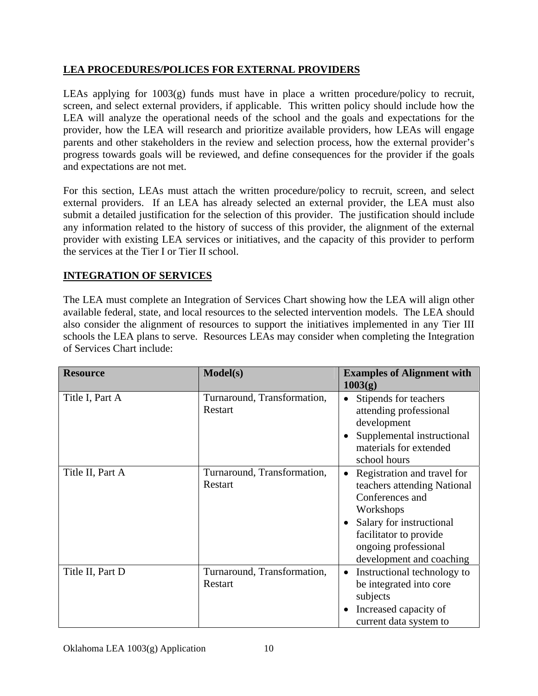# **LEA PROCEDURES/POLICES FOR EXTERNAL PROVIDERS**

LEAs applying for  $1003(g)$  funds must have in place a written procedure/policy to recruit, screen, and select external providers, if applicable. This written policy should include how the LEA will analyze the operational needs of the school and the goals and expectations for the provider, how the LEA will research and prioritize available providers, how LEAs will engage parents and other stakeholders in the review and selection process, how the external provider's progress towards goals will be reviewed, and define consequences for the provider if the goals and expectations are not met.

For this section, LEAs must attach the written procedure/policy to recruit, screen, and select external providers. If an LEA has already selected an external provider, the LEA must also submit a detailed justification for the selection of this provider. The justification should include any information related to the history of success of this provider, the alignment of the external provider with existing LEA services or initiatives, and the capacity of this provider to perform the services at the Tier I or Tier II school.

## **INTEGRATION OF SERVICES**

The LEA must complete an Integration of Services Chart showing how the LEA will align other available federal, state, and local resources to the selected intervention models. The LEA should also consider the alignment of resources to support the initiatives implemented in any Tier III schools the LEA plans to serve. Resources LEAs may consider when completing the Integration of Services Chart include:

| <b>Resource</b>  | Model(s)                               | <b>Examples of Alignment with</b><br>1003(g)                                                                                                                                                         |
|------------------|----------------------------------------|------------------------------------------------------------------------------------------------------------------------------------------------------------------------------------------------------|
| Title I, Part A  | Turnaround, Transformation,<br>Restart | Stipends for teachers<br>attending professional<br>development<br>Supplemental instructional<br>materials for extended<br>school hours                                                               |
| Title II, Part A | Turnaround, Transformation,<br>Restart | Registration and travel for<br>teachers attending National<br>Conferences and<br>Workshops<br>Salary for instructional<br>facilitator to provide<br>ongoing professional<br>development and coaching |
| Title II, Part D | Turnaround, Transformation,<br>Restart | Instructional technology to<br>be integrated into core<br>subjects<br>Increased capacity of<br>current data system to                                                                                |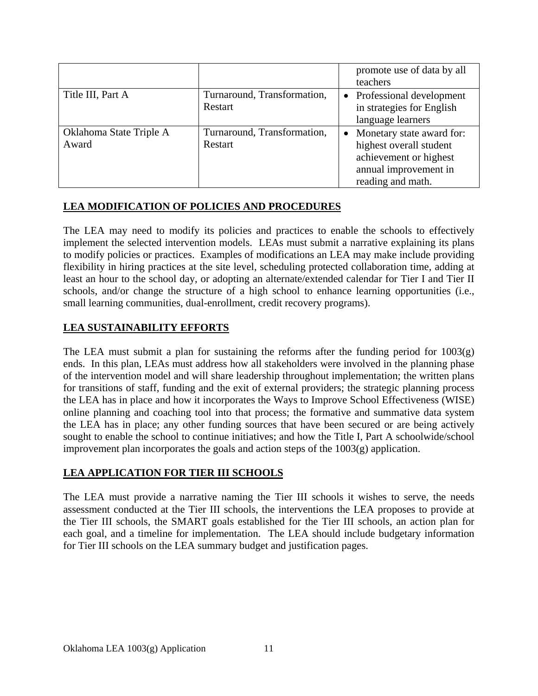|                                  |                                        | promote use of data by all<br>teachers                                                                                                    |
|----------------------------------|----------------------------------------|-------------------------------------------------------------------------------------------------------------------------------------------|
| Title III, Part A                | Turnaround, Transformation,<br>Restart | • Professional development<br>in strategies for English<br>language learners                                                              |
| Oklahoma State Triple A<br>Award | Turnaround, Transformation,<br>Restart | Monetary state award for:<br>$\bullet$<br>highest overall student<br>achievement or highest<br>annual improvement in<br>reading and math. |

## **LEA MODIFICATION OF POLICIES AND PROCEDURES**

The LEA may need to modify its policies and practices to enable the schools to effectively implement the selected intervention models. LEAs must submit a narrative explaining its plans to modify policies or practices. Examples of modifications an LEA may make include providing flexibility in hiring practices at the site level, scheduling protected collaboration time, adding at least an hour to the school day, or adopting an alternate/extended calendar for Tier I and Tier II schools, and/or change the structure of a high school to enhance learning opportunities (i.e., small learning communities, dual-enrollment, credit recovery programs).

## **LEA SUSTAINABILITY EFFORTS**

The LEA must submit a plan for sustaining the reforms after the funding period for  $1003(g)$ ends. In this plan, LEAs must address how all stakeholders were involved in the planning phase of the intervention model and will share leadership throughout implementation; the written plans for transitions of staff, funding and the exit of external providers; the strategic planning process the LEA has in place and how it incorporates the Ways to Improve School Effectiveness (WISE) online planning and coaching tool into that process; the formative and summative data system the LEA has in place; any other funding sources that have been secured or are being actively sought to enable the school to continue initiatives; and how the Title I, Part A schoolwide/school improvement plan incorporates the goals and action steps of the 1003(g) application.

#### **LEA APPLICATION FOR TIER III SCHOOLS**

The LEA must provide a narrative naming the Tier III schools it wishes to serve, the needs assessment conducted at the Tier III schools, the interventions the LEA proposes to provide at the Tier III schools, the SMART goals established for the Tier III schools, an action plan for each goal, and a timeline for implementation. The LEA should include budgetary information for Tier III schools on the LEA summary budget and justification pages.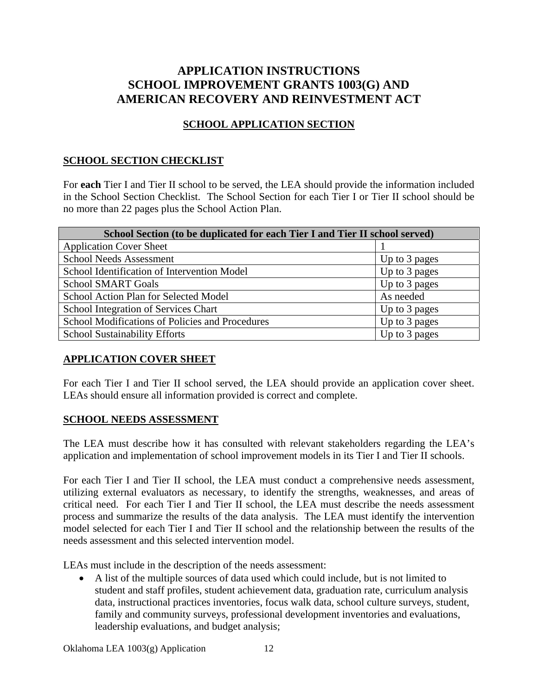# **APPLICATION INSTRUCTIONS SCHOOL IMPROVEMENT GRANTS 1003(G) AND AMERICAN RECOVERY AND REINVESTMENT ACT**

# **SCHOOL APPLICATION SECTION**

#### **SCHOOL SECTION CHECKLIST**

For **each** Tier I and Tier II school to be served, the LEA should provide the information included in the School Section Checklist. The School Section for each Tier I or Tier II school should be no more than 22 pages plus the School Action Plan.

| School Section (to be duplicated for each Tier I and Tier II school served) |               |  |  |  |
|-----------------------------------------------------------------------------|---------------|--|--|--|
| <b>Application Cover Sheet</b>                                              |               |  |  |  |
| <b>School Needs Assessment</b>                                              | Up to 3 pages |  |  |  |
| School Identification of Intervention Model                                 | Up to 3 pages |  |  |  |
| <b>School SMART Goals</b>                                                   | Up to 3 pages |  |  |  |
| School Action Plan for Selected Model                                       | As needed     |  |  |  |
| School Integration of Services Chart                                        | Up to 3 pages |  |  |  |
| School Modifications of Policies and Procedures                             | Up to 3 pages |  |  |  |
| <b>School Sustainability Efforts</b>                                        | Up to 3 pages |  |  |  |

#### **APPLICATION COVER SHEET**

For each Tier I and Tier II school served, the LEA should provide an application cover sheet. LEAs should ensure all information provided is correct and complete.

#### **SCHOOL NEEDS ASSESSMENT**

The LEA must describe how it has consulted with relevant stakeholders regarding the LEA's application and implementation of school improvement models in its Tier I and Tier II schools.

For each Tier I and Tier II school, the LEA must conduct a comprehensive needs assessment, utilizing external evaluators as necessary, to identify the strengths, weaknesses, and areas of critical need. For each Tier I and Tier II school, the LEA must describe the needs assessment process and summarize the results of the data analysis. The LEA must identify the intervention model selected for each Tier I and Tier II school and the relationship between the results of the needs assessment and this selected intervention model.

LEAs must include in the description of the needs assessment:

 A list of the multiple sources of data used which could include, but is not limited to student and staff profiles, student achievement data, graduation rate, curriculum analysis data, instructional practices inventories, focus walk data, school culture surveys, student, family and community surveys, professional development inventories and evaluations, leadership evaluations, and budget analysis;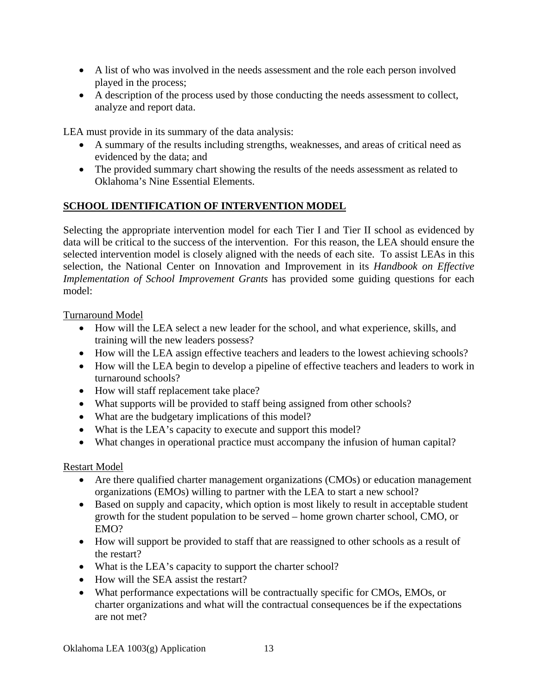- A list of who was involved in the needs assessment and the role each person involved played in the process;
- A description of the process used by those conducting the needs assessment to collect, analyze and report data.

LEA must provide in its summary of the data analysis:

- A summary of the results including strengths, weaknesses, and areas of critical need as evidenced by the data; and
- The provided summary chart showing the results of the needs assessment as related to Oklahoma's Nine Essential Elements.

## **SCHOOL IDENTIFICATION OF INTERVENTION MODEL**

Selecting the appropriate intervention model for each Tier I and Tier II school as evidenced by data will be critical to the success of the intervention. For this reason, the LEA should ensure the selected intervention model is closely aligned with the needs of each site. To assist LEAs in this selection, the National Center on Innovation and Improvement in its *Handbook on Effective Implementation of School Improvement Grants* has provided some guiding questions for each model:

Turnaround Model

- How will the LEA select a new leader for the school, and what experience, skills, and training will the new leaders possess?
- How will the LEA assign effective teachers and leaders to the lowest achieving schools?
- How will the LEA begin to develop a pipeline of effective teachers and leaders to work in turnaround schools?
- How will staff replacement take place?
- What supports will be provided to staff being assigned from other schools?
- What are the budgetary implications of this model?
- What is the LEA's capacity to execute and support this model?
- What changes in operational practice must accompany the infusion of human capital?

#### Restart Model

- Are there qualified charter management organizations (CMOs) or education management organizations (EMOs) willing to partner with the LEA to start a new school?
- Based on supply and capacity, which option is most likely to result in acceptable student growth for the student population to be served – home grown charter school, CMO, or EMO?
- How will support be provided to staff that are reassigned to other schools as a result of the restart?
- What is the LEA's capacity to support the charter school?
- How will the SEA assist the restart?
- What performance expectations will be contractually specific for CMOs, EMOs, or charter organizations and what will the contractual consequences be if the expectations are not met?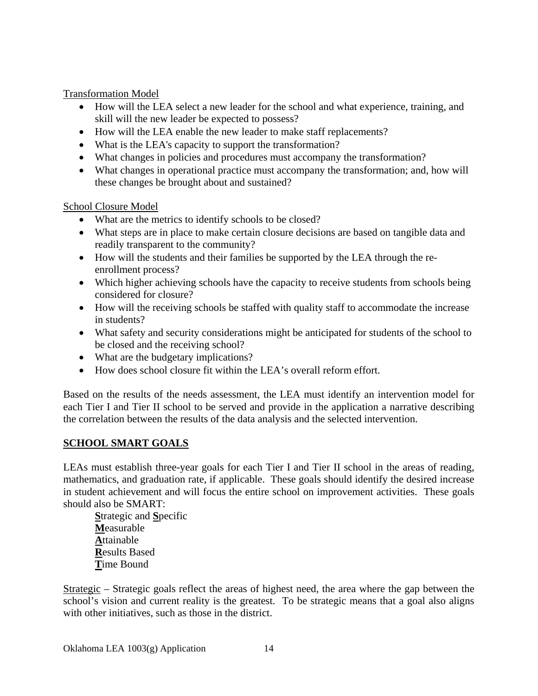Transformation Model

- How will the LEA select a new leader for the school and what experience, training, and skill will the new leader be expected to possess?
- How will the LEA enable the new leader to make staff replacements?
- What is the LEA's capacity to support the transformation?
- What changes in policies and procedures must accompany the transformation?
- What changes in operational practice must accompany the transformation; and, how will these changes be brought about and sustained?

School Closure Model

- What are the metrics to identify schools to be closed?
- What steps are in place to make certain closure decisions are based on tangible data and readily transparent to the community?
- How will the students and their families be supported by the LEA through the reenrollment process?
- Which higher achieving schools have the capacity to receive students from schools being considered for closure?
- How will the receiving schools be staffed with quality staff to accommodate the increase in students?
- What safety and security considerations might be anticipated for students of the school to be closed and the receiving school?
- What are the budgetary implications?
- How does school closure fit within the LEA's overall reform effort.

Based on the results of the needs assessment, the LEA must identify an intervention model for each Tier I and Tier II school to be served and provide in the application a narrative describing the correlation between the results of the data analysis and the selected intervention.

#### **SCHOOL SMART GOALS**

LEAs must establish three-year goals for each Tier I and Tier II school in the areas of reading, mathematics, and graduation rate, if applicable. These goals should identify the desired increase in student achievement and will focus the entire school on improvement activities. These goals should also be SMART:

**S**trategic and **S**pecific **M**easurable **A**ttainable **R**esults Based **T**ime Bound

Strategic – Strategic goals reflect the areas of highest need, the area where the gap between the school's vision and current reality is the greatest. To be strategic means that a goal also aligns with other initiatives, such as those in the district.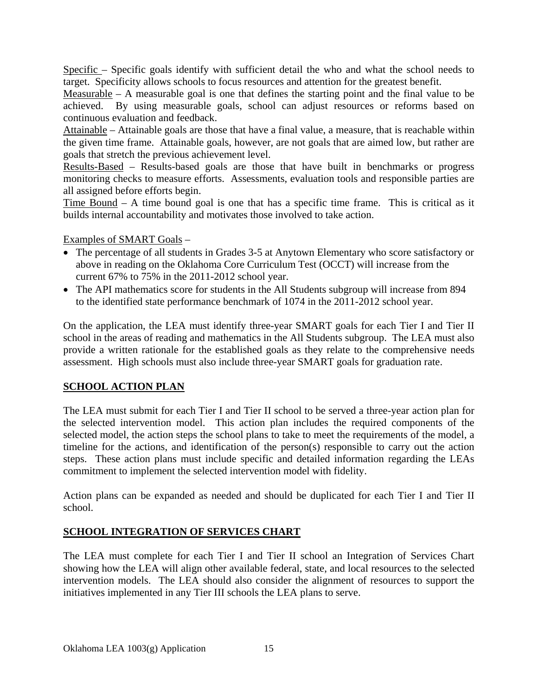Specific – Specific goals identify with sufficient detail the who and what the school needs to target. Specificity allows schools to focus resources and attention for the greatest benefit.

Measurable – A measurable goal is one that defines the starting point and the final value to be achieved. By using measurable goals, school can adjust resources or reforms based on continuous evaluation and feedback.

Attainable – Attainable goals are those that have a final value, a measure, that is reachable within the given time frame. Attainable goals, however, are not goals that are aimed low, but rather are goals that stretch the previous achievement level.

Results-Based – Results-based goals are those that have built in benchmarks or progress monitoring checks to measure efforts. Assessments, evaluation tools and responsible parties are all assigned before efforts begin.

Time Bound – A time bound goal is one that has a specific time frame. This is critical as it builds internal accountability and motivates those involved to take action.

Examples of SMART Goals –

- The percentage of all students in Grades 3-5 at Anytown Elementary who score satisfactory or above in reading on the Oklahoma Core Curriculum Test (OCCT) will increase from the current 67% to 75% in the 2011-2012 school year.
- The API mathematics score for students in the All Students subgroup will increase from 894 to the identified state performance benchmark of 1074 in the 2011-2012 school year.

On the application, the LEA must identify three-year SMART goals for each Tier I and Tier II school in the areas of reading and mathematics in the All Students subgroup. The LEA must also provide a written rationale for the established goals as they relate to the comprehensive needs assessment. High schools must also include three-year SMART goals for graduation rate.

# **SCHOOL ACTION PLAN**

The LEA must submit for each Tier I and Tier II school to be served a three-year action plan for the selected intervention model. This action plan includes the required components of the selected model, the action steps the school plans to take to meet the requirements of the model, a timeline for the actions, and identification of the person(s) responsible to carry out the action steps. These action plans must include specific and detailed information regarding the LEAs commitment to implement the selected intervention model with fidelity.

Action plans can be expanded as needed and should be duplicated for each Tier I and Tier II school.

# **SCHOOL INTEGRATION OF SERVICES CHART**

The LEA must complete for each Tier I and Tier II school an Integration of Services Chart showing how the LEA will align other available federal, state, and local resources to the selected intervention models. The LEA should also consider the alignment of resources to support the initiatives implemented in any Tier III schools the LEA plans to serve.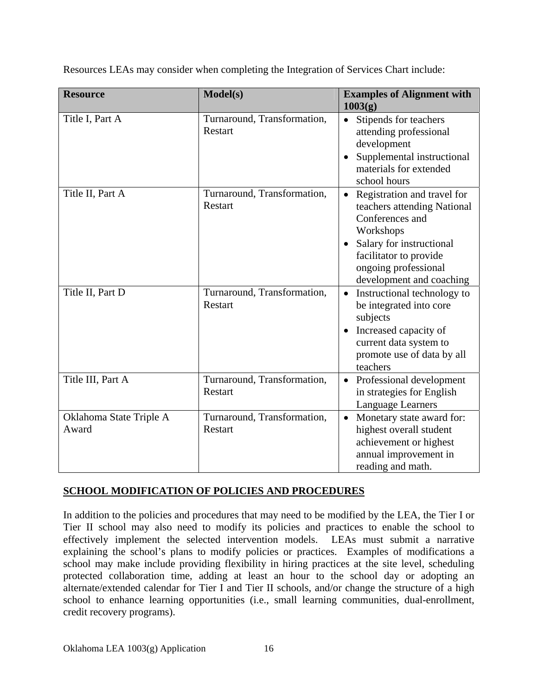| <b>Resource</b>                  | Model(s)                               | <b>Examples of Alignment with</b><br>1003(g)                                                                                                                                                         |
|----------------------------------|----------------------------------------|------------------------------------------------------------------------------------------------------------------------------------------------------------------------------------------------------|
| Title I, Part A                  | Turnaround, Transformation,<br>Restart | Stipends for teachers<br>attending professional<br>development<br>Supplemental instructional<br>materials for extended<br>school hours                                                               |
| Title II, Part A                 | Turnaround, Transformation,<br>Restart | Registration and travel for<br>teachers attending National<br>Conferences and<br>Workshops<br>Salary for instructional<br>facilitator to provide<br>ongoing professional<br>development and coaching |
| Title II, Part D                 | Turnaround, Transformation,<br>Restart | Instructional technology to<br>be integrated into core<br>subjects<br>Increased capacity of<br>current data system to<br>promote use of data by all<br>teachers                                      |
| Title III, Part A                | Turnaround, Transformation,<br>Restart | Professional development<br>in strategies for English<br>Language Learners                                                                                                                           |
| Oklahoma State Triple A<br>Award | Turnaround, Transformation,<br>Restart | Monetary state award for:<br>$\bullet$<br>highest overall student<br>achievement or highest<br>annual improvement in<br>reading and math.                                                            |

Resources LEAs may consider when completing the Integration of Services Chart include:

#### **SCHOOL MODIFICATION OF POLICIES AND PROCEDURES**

In addition to the policies and procedures that may need to be modified by the LEA, the Tier I or Tier II school may also need to modify its policies and practices to enable the school to effectively implement the selected intervention models. LEAs must submit a narrative explaining the school's plans to modify policies or practices. Examples of modifications a school may make include providing flexibility in hiring practices at the site level, scheduling protected collaboration time, adding at least an hour to the school day or adopting an alternate/extended calendar for Tier I and Tier II schools, and/or change the structure of a high school to enhance learning opportunities (i.e., small learning communities, dual-enrollment, credit recovery programs).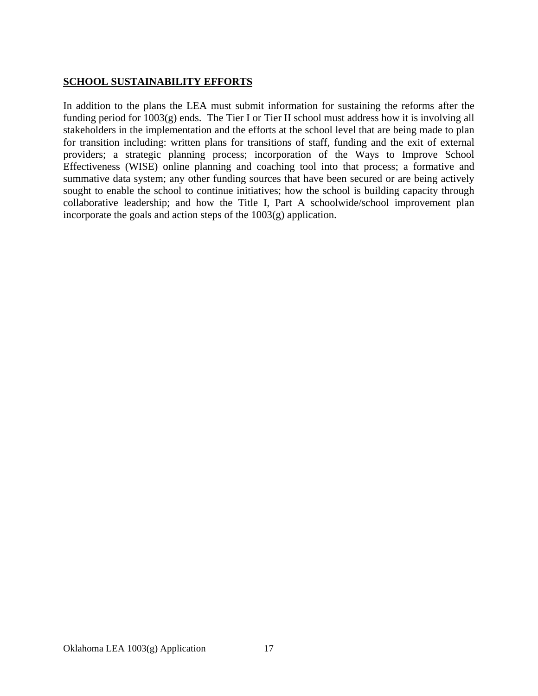# **SCHOOL SUSTAINABILITY EFFORTS**

In addition to the plans the LEA must submit information for sustaining the reforms after the funding period for 1003(g) ends. The Tier I or Tier II school must address how it is involving all stakeholders in the implementation and the efforts at the school level that are being made to plan for transition including: written plans for transitions of staff, funding and the exit of external providers; a strategic planning process; incorporation of the Ways to Improve School Effectiveness (WISE) online planning and coaching tool into that process; a formative and summative data system; any other funding sources that have been secured or are being actively sought to enable the school to continue initiatives; how the school is building capacity through collaborative leadership; and how the Title I, Part A schoolwide/school improvement plan incorporate the goals and action steps of the 1003(g) application.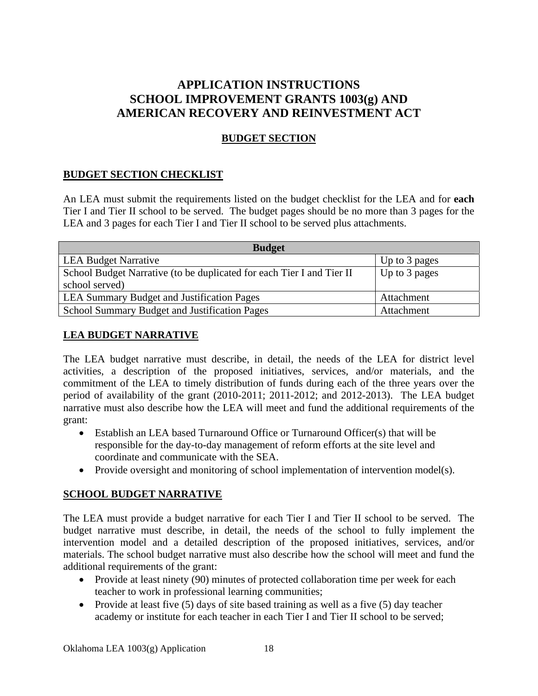# **APPLICATION INSTRUCTIONS SCHOOL IMPROVEMENT GRANTS 1003(g) AND AMERICAN RECOVERY AND REINVESTMENT ACT**

# **BUDGET SECTION**

#### **BUDGET SECTION CHECKLIST**

An LEA must submit the requirements listed on the budget checklist for the LEA and for **each** Tier I and Tier II school to be served. The budget pages should be no more than 3 pages for the LEA and 3 pages for each Tier I and Tier II school to be served plus attachments.

| <b>Budget</b>                                                         |               |  |  |  |
|-----------------------------------------------------------------------|---------------|--|--|--|
| <b>LEA Budget Narrative</b>                                           | Up to 3 pages |  |  |  |
| School Budget Narrative (to be duplicated for each Tier I and Tier II | Up to 3 pages |  |  |  |
| school served)                                                        |               |  |  |  |
| <b>LEA Summary Budget and Justification Pages</b>                     | Attachment    |  |  |  |
| School Summary Budget and Justification Pages                         | Attachment    |  |  |  |

#### **LEA BUDGET NARRATIVE**

The LEA budget narrative must describe, in detail, the needs of the LEA for district level activities, a description of the proposed initiatives, services, and/or materials, and the commitment of the LEA to timely distribution of funds during each of the three years over the period of availability of the grant (2010-2011; 2011-2012; and 2012-2013). The LEA budget narrative must also describe how the LEA will meet and fund the additional requirements of the grant:

- Establish an LEA based Turnaround Office or Turnaround Officer(s) that will be responsible for the day-to-day management of reform efforts at the site level and coordinate and communicate with the SEA.
- Provide oversight and monitoring of school implementation of intervention model(s).

#### **SCHOOL BUDGET NARRATIVE**

The LEA must provide a budget narrative for each Tier I and Tier II school to be served. The budget narrative must describe, in detail, the needs of the school to fully implement the intervention model and a detailed description of the proposed initiatives, services, and/or materials. The school budget narrative must also describe how the school will meet and fund the additional requirements of the grant:

- Provide at least ninety (90) minutes of protected collaboration time per week for each teacher to work in professional learning communities;
- Provide at least five  $(5)$  days of site based training as well as a five  $(5)$  day teacher academy or institute for each teacher in each Tier I and Tier II school to be served;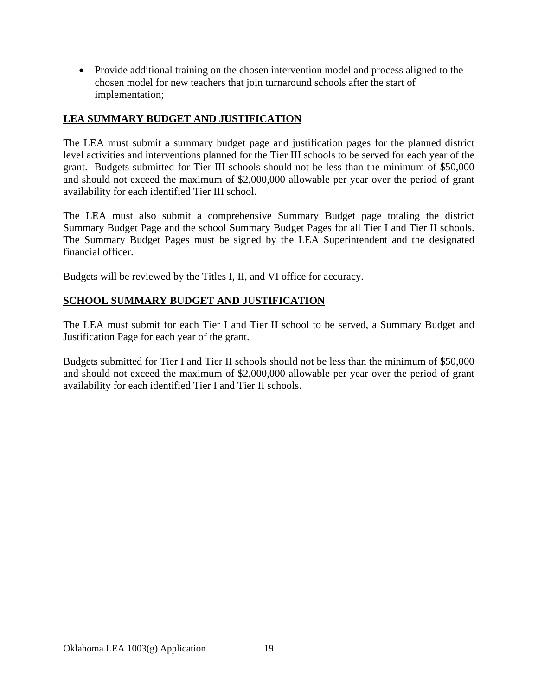• Provide additional training on the chosen intervention model and process aligned to the chosen model for new teachers that join turnaround schools after the start of implementation;

### **LEA SUMMARY BUDGET AND JUSTIFICATION**

The LEA must submit a summary budget page and justification pages for the planned district level activities and interventions planned for the Tier III schools to be served for each year of the grant. Budgets submitted for Tier III schools should not be less than the minimum of \$50,000 and should not exceed the maximum of \$2,000,000 allowable per year over the period of grant availability for each identified Tier III school.

The LEA must also submit a comprehensive Summary Budget page totaling the district Summary Budget Page and the school Summary Budget Pages for all Tier I and Tier II schools. The Summary Budget Pages must be signed by the LEA Superintendent and the designated financial officer.

Budgets will be reviewed by the Titles I, II, and VI office for accuracy.

## **SCHOOL SUMMARY BUDGET AND JUSTIFICATION**

The LEA must submit for each Tier I and Tier II school to be served, a Summary Budget and Justification Page for each year of the grant.

Budgets submitted for Tier I and Tier II schools should not be less than the minimum of \$50,000 and should not exceed the maximum of \$2,000,000 allowable per year over the period of grant availability for each identified Tier I and Tier II schools.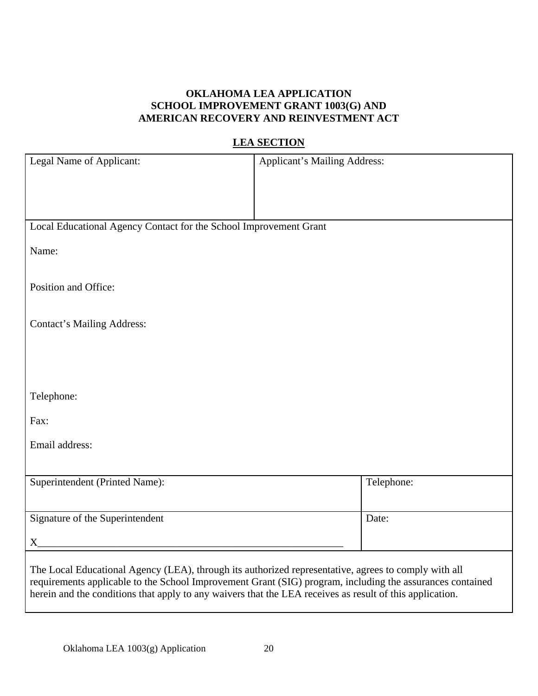## **OKLAHOMA LEA APPLICATION SCHOOL IMPROVEMENT GRANT 1003(G) AND AMERICAN RECOVERY AND REINVESTMENT ACT**

# **LEA SECTION**

| Legal Name of Applicant:                                                                                 | <b>Applicant's Mailing Address:</b>                                                                       |
|----------------------------------------------------------------------------------------------------------|-----------------------------------------------------------------------------------------------------------|
|                                                                                                          |                                                                                                           |
|                                                                                                          |                                                                                                           |
| Local Educational Agency Contact for the School Improvement Grant                                        |                                                                                                           |
| Name:                                                                                                    |                                                                                                           |
|                                                                                                          |                                                                                                           |
| Position and Office:                                                                                     |                                                                                                           |
|                                                                                                          |                                                                                                           |
| <b>Contact's Mailing Address:</b>                                                                        |                                                                                                           |
|                                                                                                          |                                                                                                           |
|                                                                                                          |                                                                                                           |
| Telephone:                                                                                               |                                                                                                           |
| Fax:                                                                                                     |                                                                                                           |
| Email address:                                                                                           |                                                                                                           |
|                                                                                                          |                                                                                                           |
| Superintendent (Printed Name):                                                                           | Telephone:                                                                                                |
|                                                                                                          |                                                                                                           |
| Signature of the Superintendent                                                                          | Date:                                                                                                     |
| $X_{-}$                                                                                                  |                                                                                                           |
| The Local Educational Agency (LEA), through its authorized representative, agrees to comply with all     |                                                                                                           |
| herein and the conditions that apply to any waivers that the LEA receives as result of this application. | requirements applicable to the School Improvement Grant (SIG) program, including the assurances contained |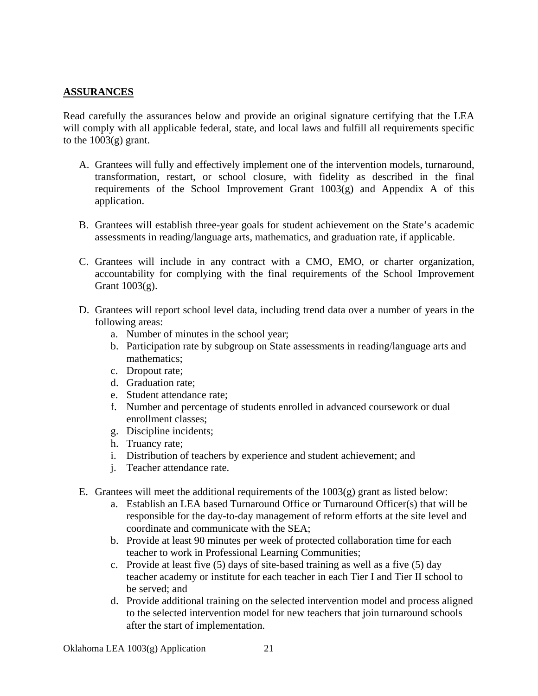#### **ASSURANCES**

Read carefully the assurances below and provide an original signature certifying that the LEA will comply with all applicable federal, state, and local laws and fulfill all requirements specific to the  $1003(g)$  grant.

- A. Grantees will fully and effectively implement one of the intervention models, turnaround, transformation, restart, or school closure, with fidelity as described in the final requirements of the School Improvement Grant  $1003(g)$  and Appendix A of this application.
- B. Grantees will establish three-year goals for student achievement on the State's academic assessments in reading/language arts, mathematics, and graduation rate, if applicable.
- C. Grantees will include in any contract with a CMO, EMO, or charter organization, accountability for complying with the final requirements of the School Improvement Grant 1003(g).
- D. Grantees will report school level data, including trend data over a number of years in the following areas:
	- a. Number of minutes in the school year;
	- b. Participation rate by subgroup on State assessments in reading/language arts and mathematics;
	- c. Dropout rate;
	- d. Graduation rate;
	- e. Student attendance rate;
	- f. Number and percentage of students enrolled in advanced coursework or dual enrollment classes;
	- g. Discipline incidents;
	- h. Truancy rate;
	- i. Distribution of teachers by experience and student achievement; and
	- j. Teacher attendance rate.
- E. Grantees will meet the additional requirements of the  $1003(g)$  grant as listed below:
	- a. Establish an LEA based Turnaround Office or Turnaround Officer(s) that will be responsible for the day-to-day management of reform efforts at the site level and coordinate and communicate with the SEA;
	- b. Provide at least 90 minutes per week of protected collaboration time for each teacher to work in Professional Learning Communities;
	- c. Provide at least five (5) days of site-based training as well as a five (5) day teacher academy or institute for each teacher in each Tier I and Tier II school to be served; and
	- d. Provide additional training on the selected intervention model and process aligned to the selected intervention model for new teachers that join turnaround schools after the start of implementation.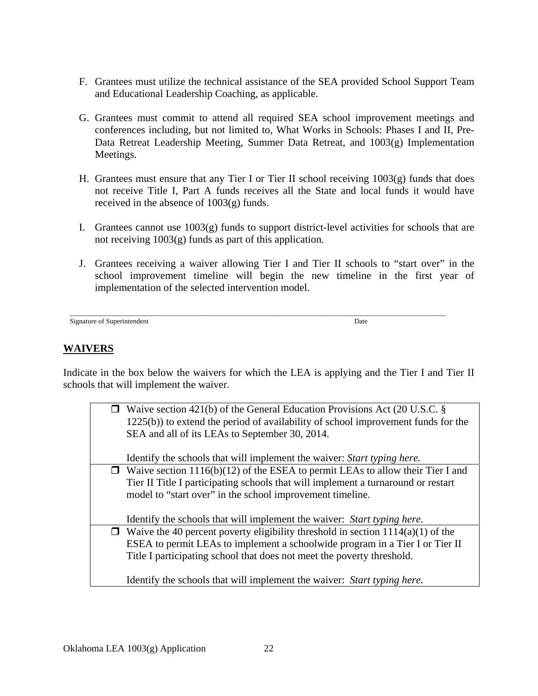- F. Grantees must utilize the technical assistance of the SEA provided School Support Team and Educational Leadership Coaching, as applicable.
- G. Grantees must commit to attend all required SEA school improvement meetings and conferences including, but not limited to, What Works in Schools: Phases I and II, Pre-Data Retreat Leadership Meeting, Summer Data Retreat, and 1003(g) Implementation Meetings.
- H. Grantees must ensure that any Tier I or Tier II school receiving 1003(g) funds that does not receive Title I, Part A funds receives all the State and local funds it would have received in the absence of 1003(g) funds.
- I. Grantees cannot use 1003(g) funds to support district-level activities for schools that are not receiving 1003(g) funds as part of this application.
- J. Grantees receiving a waiver allowing Tier I and Tier II schools to "start over" in the school improvement timeline will begin the new timeline in the first year of implementation of the selected intervention model.

\_\_\_\_\_\_\_\_\_\_\_\_\_\_\_\_\_\_\_\_\_\_\_\_\_\_\_\_\_\_\_\_\_\_\_\_\_\_\_\_\_\_\_\_\_\_\_\_\_\_\_\_\_\_\_\_\_\_\_\_\_\_\_\_\_\_\_\_\_\_\_\_\_\_\_\_\_\_\_\_\_\_\_\_\_\_\_\_\_\_\_\_\_\_\_\_\_\_\_\_\_\_\_\_\_\_\_ Signature of Superintendent Date of Superintendent Date

# **WAIVERS**

Indicate in the box below the waivers for which the LEA is applying and the Tier I and Tier II schools that will implement the waiver.

| $\Box$ Waive section 421(b) of the General Education Provisions Act (20 U.S.C. §<br>$1225(b)$ ) to extend the period of availability of school improvement funds for the |
|--------------------------------------------------------------------------------------------------------------------------------------------------------------------------|
| SEA and all of its LEAs to September 30, 2014.                                                                                                                           |
| Identify the schools that will implement the waiver: Start typing here.                                                                                                  |
| $\Box$ Waive section 1116(b)(12) of the ESEA to permit LEAs to allow their Tier I and                                                                                    |
| Tier II Title I participating schools that will implement a turnaround or restart                                                                                        |
| model to "start over" in the school improvement timeline.                                                                                                                |
| Identify the schools that will implement the waiver: Start typing here.                                                                                                  |
| $\Box$ Waive the 40 percent poverty eligibility threshold in section 1114(a)(1) of the                                                                                   |
| ESEA to permit LEAs to implement a schoolwide program in a Tier I or Tier II                                                                                             |
| Title I participating school that does not meet the poverty threshold.                                                                                                   |
| Identify the schools that will implement the waiver: Start typing here.                                                                                                  |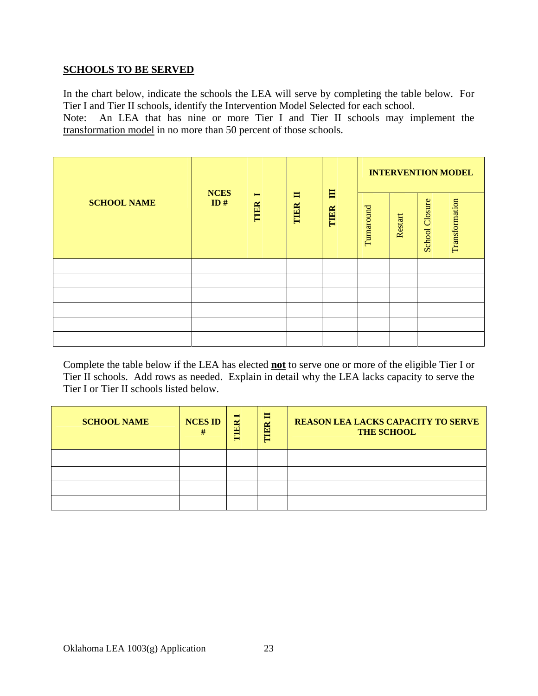#### **SCHOOLS TO BE SERVED**

In the chart below, indicate the schools the LEA will serve by completing the table below. For Tier I and Tier II schools, identify the Intervention Model Selected for each school.

Note: An LEA that has nine or more Tier I and Tier II schools may implement the transformation model in no more than 50 percent of those schools.

|                    |                                                                        |           |            |         |                       |                |  | <b>INTERVENTION MODEL</b> |
|--------------------|------------------------------------------------------------------------|-----------|------------|---------|-----------------------|----------------|--|---------------------------|
| <b>SCHOOL NAME</b> | <b>NCES</b><br>$\blacksquare$<br>$\blacksquare$<br>ID#<br>TIER<br>TIER | 目<br>TIER | Turnaround | Restart | <b>School Closure</b> | Transformation |  |                           |
|                    |                                                                        |           |            |         |                       |                |  |                           |
|                    |                                                                        |           |            |         |                       |                |  |                           |
|                    |                                                                        |           |            |         |                       |                |  |                           |
|                    |                                                                        |           |            |         |                       |                |  |                           |
|                    |                                                                        |           |            |         |                       |                |  |                           |
|                    |                                                                        |           |            |         |                       |                |  |                           |

Complete the table below if the LEA has elected **not** to serve one or more of the eligible Tier I or Tier II schools. Add rows as needed. Explain in detail why the LEA lacks capacity to serve the Tier I or Tier II schools listed below.

| <b>SCHOOL NAME</b> | <b>NCES ID</b><br># | $\blacksquare$<br>THER | E<br>TIER | <b>REASON LEA LACKS CAPACITY TO SERVE</b><br><b>THE SCHOOL</b> |
|--------------------|---------------------|------------------------|-----------|----------------------------------------------------------------|
|                    |                     |                        |           |                                                                |
|                    |                     |                        |           |                                                                |
|                    |                     |                        |           |                                                                |
|                    |                     |                        |           |                                                                |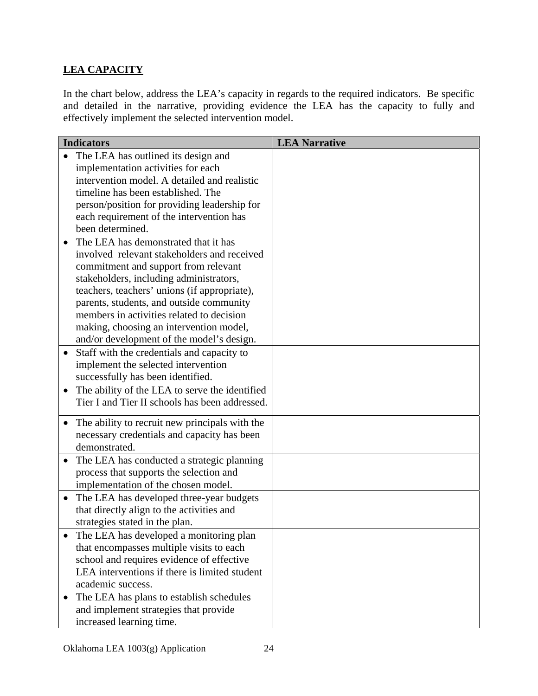# **LEA CAPACITY**

In the chart below, address the LEA's capacity in regards to the required indicators. Be specific and detailed in the narrative, providing evidence the LEA has the capacity to fully and effectively implement the selected intervention model.

|           | <b>Indicators</b>                                                                          | <b>LEA Narrative</b> |
|-----------|--------------------------------------------------------------------------------------------|----------------------|
|           | The LEA has outlined its design and                                                        |                      |
|           | implementation activities for each                                                         |                      |
|           | intervention model. A detailed and realistic                                               |                      |
|           | timeline has been established. The                                                         |                      |
|           | person/position for providing leadership for                                               |                      |
|           | each requirement of the intervention has                                                   |                      |
|           | been determined.                                                                           |                      |
|           | The LEA has demonstrated that it has                                                       |                      |
|           | involved relevant stakeholders and received                                                |                      |
|           | commitment and support from relevant                                                       |                      |
|           | stakeholders, including administrators,                                                    |                      |
|           | teachers, teachers' unions (if appropriate),                                               |                      |
|           | parents, students, and outside community                                                   |                      |
|           | members in activities related to decision                                                  |                      |
|           | making, choosing an intervention model,                                                    |                      |
|           | and/or development of the model's design.                                                  |                      |
| $\bullet$ | Staff with the credentials and capacity to                                                 |                      |
|           | implement the selected intervention                                                        |                      |
|           | successfully has been identified.                                                          |                      |
| $\bullet$ | The ability of the LEA to serve the identified                                             |                      |
|           | Tier I and Tier II schools has been addressed.                                             |                      |
|           |                                                                                            |                      |
|           | The ability to recruit new principals with the                                             |                      |
|           | necessary credentials and capacity has been<br>demonstrated.                               |                      |
|           |                                                                                            |                      |
| $\bullet$ | The LEA has conducted a strategic planning                                                 |                      |
|           | process that supports the selection and<br>implementation of the chosen model.             |                      |
|           |                                                                                            |                      |
| $\bullet$ | The LEA has developed three-year budgets                                                   |                      |
|           | that directly align to the activities and                                                  |                      |
|           | strategies stated in the plan.                                                             |                      |
|           | The LEA has developed a monitoring plan                                                    |                      |
|           | that encompasses multiple visits to each                                                   |                      |
|           | school and requires evidence of effective<br>LEA interventions if there is limited student |                      |
|           | academic success.                                                                          |                      |
|           |                                                                                            |                      |
|           | The LEA has plans to establish schedules                                                   |                      |
|           | and implement strategies that provide                                                      |                      |
|           | increased learning time.                                                                   |                      |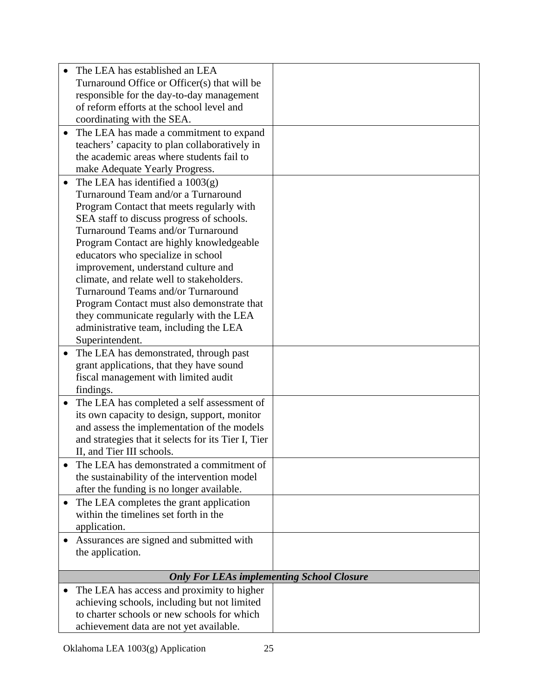|           | The LEA has established an LEA                      |  |
|-----------|-----------------------------------------------------|--|
|           | Turnaround Office or Officer(s) that will be        |  |
|           | responsible for the day-to-day management           |  |
|           | of reform efforts at the school level and           |  |
|           | coordinating with the SEA.                          |  |
| $\bullet$ | The LEA has made a commitment to expand             |  |
|           | teachers' capacity to plan collaboratively in       |  |
|           | the academic areas where students fail to           |  |
|           | make Adequate Yearly Progress.                      |  |
|           | The LEA has identified a $1003(g)$                  |  |
|           | Turnaround Team and/or a Turnaround                 |  |
|           | Program Contact that meets regularly with           |  |
|           | SEA staff to discuss progress of schools.           |  |
|           | Turnaround Teams and/or Turnaround                  |  |
|           | Program Contact are highly knowledgeable            |  |
|           | educators who specialize in school                  |  |
|           | improvement, understand culture and                 |  |
|           | climate, and relate well to stakeholders.           |  |
|           | Turnaround Teams and/or Turnaround                  |  |
|           | Program Contact must also demonstrate that          |  |
|           | they communicate regularly with the LEA             |  |
|           | administrative team, including the LEA              |  |
|           | Superintendent.                                     |  |
| $\bullet$ | The LEA has demonstrated, through past              |  |
|           | grant applications, that they have sound            |  |
|           | fiscal management with limited audit                |  |
|           | findings.                                           |  |
| $\bullet$ | The LEA has completed a self assessment of          |  |
|           | its own capacity to design, support, monitor        |  |
|           | and assess the implementation of the models         |  |
|           | and strategies that it selects for its Tier I, Tier |  |
|           | II, and Tier III schools.                           |  |
|           | The LEA has demonstrated a commitment of            |  |
|           | the sustainability of the intervention model        |  |
|           | after the funding is no longer available.           |  |
| $\bullet$ | The LEA completes the grant application             |  |
|           | within the timelines set forth in the               |  |
|           | application.                                        |  |
| $\bullet$ | Assurances are signed and submitted with            |  |
|           | the application.                                    |  |
|           |                                                     |  |
|           | <b>Only For LEAs implementing School Closure</b>    |  |
|           | The LEA has access and proximity to higher          |  |
|           | achieving schools, including but not limited        |  |
|           | to charter schools or new schools for which         |  |
|           | achievement data are not yet available.             |  |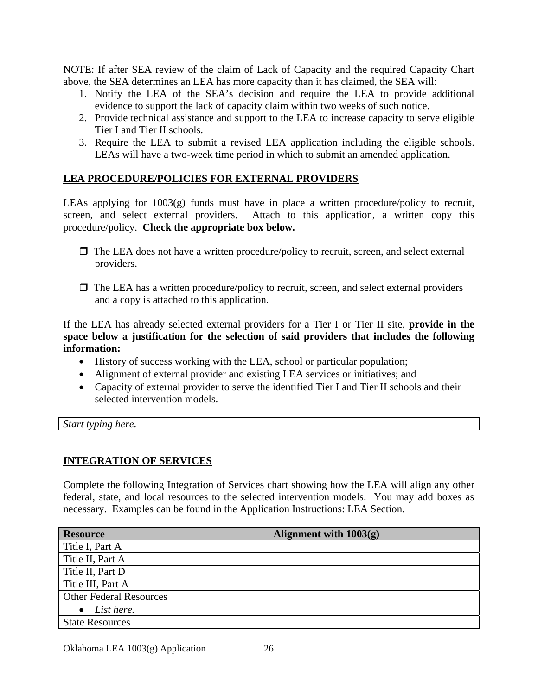NOTE: If after SEA review of the claim of Lack of Capacity and the required Capacity Chart above, the SEA determines an LEA has more capacity than it has claimed, the SEA will:

- 1. Notify the LEA of the SEA's decision and require the LEA to provide additional evidence to support the lack of capacity claim within two weeks of such notice.
- 2. Provide technical assistance and support to the LEA to increase capacity to serve eligible Tier I and Tier II schools.
- 3. Require the LEA to submit a revised LEA application including the eligible schools. LEAs will have a two-week time period in which to submit an amended application.

## **LEA PROCEDURE/POLICIES FOR EXTERNAL PROVIDERS**

LEAs applying for 1003(g) funds must have in place a written procedure/policy to recruit, screen, and select external providers. Attach to this application, a written copy this procedure/policy. **Check the appropriate box below.**

- $\Box$  The LEA does not have a written procedure/policy to recruit, screen, and select external providers.
- $\Box$  The LEA has a written procedure/policy to recruit, screen, and select external providers and a copy is attached to this application.

If the LEA has already selected external providers for a Tier I or Tier II site, **provide in the space below a justification for the selection of said providers that includes the following information:** 

- History of success working with the LEA, school or particular population;
- Alignment of external provider and existing LEA services or initiatives; and
- Capacity of external provider to serve the identified Tier I and Tier II schools and their selected intervention models.

*Start typing here.* 

#### **INTEGRATION OF SERVICES**

Complete the following Integration of Services chart showing how the LEA will align any other federal, state, and local resources to the selected intervention models. You may add boxes as necessary. Examples can be found in the Application Instructions: LEA Section.

| <b>Resource</b>                | Alignment with $1003(g)$ |
|--------------------------------|--------------------------|
| Title I, Part A                |                          |
| Title II, Part A               |                          |
| Title II, Part D               |                          |
| Title III, Part A              |                          |
| <b>Other Federal Resources</b> |                          |
| List here.                     |                          |
| <b>State Resources</b>         |                          |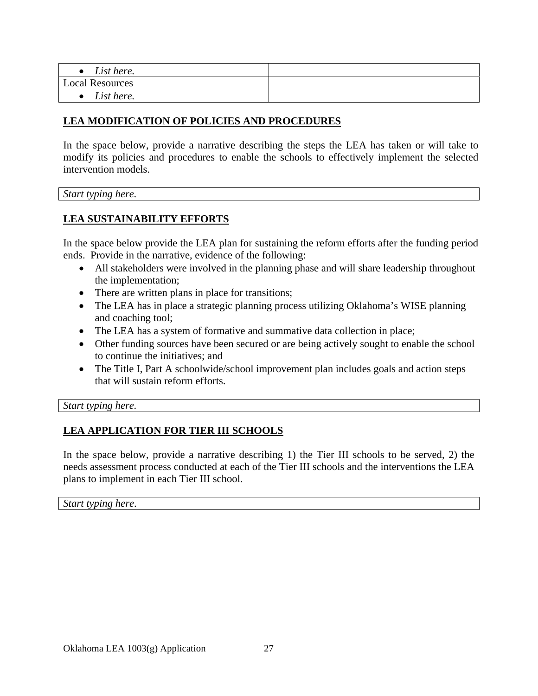| List here.             |  |
|------------------------|--|
| <b>Local Resources</b> |  |
| List here.             |  |

#### **LEA MODIFICATION OF POLICIES AND PROCEDURES**

In the space below, provide a narrative describing the steps the LEA has taken or will take to modify its policies and procedures to enable the schools to effectively implement the selected intervention models.

*Start typing here.* 

#### **LEA SUSTAINABILITY EFFORTS**

In the space below provide the LEA plan for sustaining the reform efforts after the funding period ends. Provide in the narrative, evidence of the following:

- All stakeholders were involved in the planning phase and will share leadership throughout the implementation;
- There are written plans in place for transitions;
- The LEA has in place a strategic planning process utilizing Oklahoma's WISE planning and coaching tool;
- The LEA has a system of formative and summative data collection in place;
- Other funding sources have been secured or are being actively sought to enable the school to continue the initiatives; and
- The Title I, Part A schoolwide/school improvement plan includes goals and action steps that will sustain reform efforts.

*Start typing here.* 

# **LEA APPLICATION FOR TIER III SCHOOLS**

In the space below, provide a narrative describing 1) the Tier III schools to be served, 2) the needs assessment process conducted at each of the Tier III schools and the interventions the LEA plans to implement in each Tier III school.

*Start typing here*.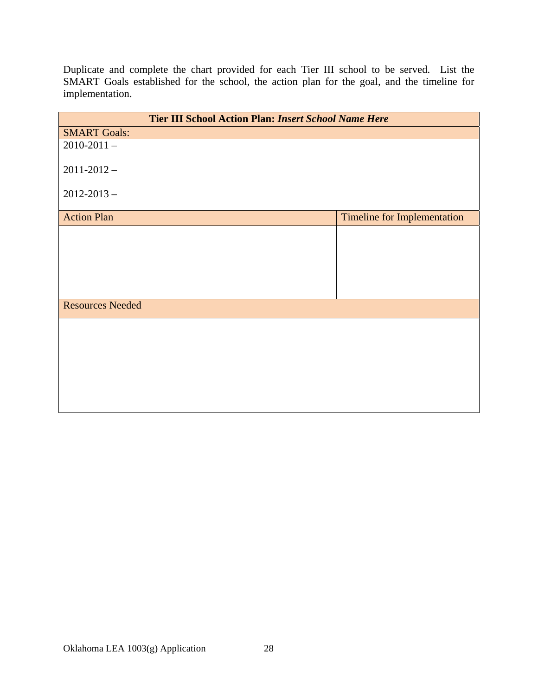Duplicate and complete the chart provided for each Tier III school to be served. List the SMART Goals established for the school, the action plan for the goal, and the timeline for implementation.

| <b>Tier III School Action Plan: Insert School Name Here</b> |                                    |
|-------------------------------------------------------------|------------------------------------|
| <b>SMART Goals:</b>                                         |                                    |
| $2010 - 2011 -$                                             |                                    |
| $2011 - 2012 -$                                             |                                    |
| $2012 - 2013 -$                                             |                                    |
| <b>Action Plan</b>                                          | <b>Timeline for Implementation</b> |
|                                                             |                                    |
|                                                             |                                    |
|                                                             |                                    |
|                                                             |                                    |
| <b>Resources Needed</b>                                     |                                    |
|                                                             |                                    |
|                                                             |                                    |
|                                                             |                                    |
|                                                             |                                    |
|                                                             |                                    |
|                                                             |                                    |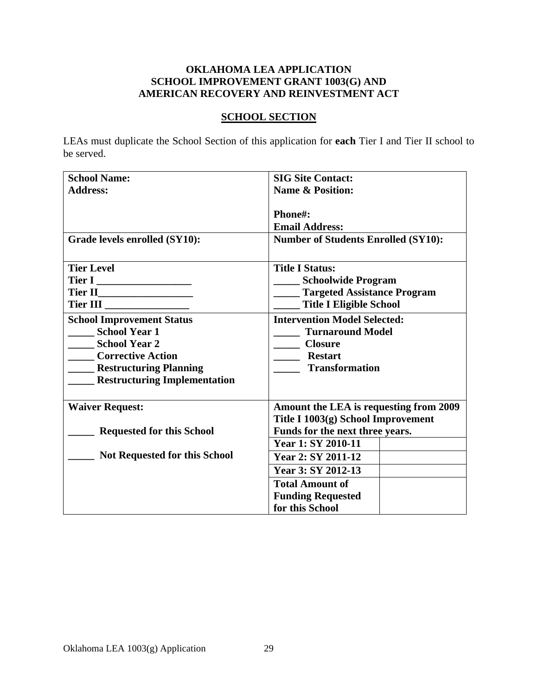### **OKLAHOMA LEA APPLICATION SCHOOL IMPROVEMENT GRANT 1003(G) AND AMERICAN RECOVERY AND REINVESTMENT ACT**

#### **SCHOOL SECTION**

LEAs must duplicate the School Section of this application for **each** Tier I and Tier II school to be served.

| <b>School Name:</b>                                                 | <b>SIG Site Contact:</b>                   |  |
|---------------------------------------------------------------------|--------------------------------------------|--|
| <b>Address:</b>                                                     | <b>Name &amp; Position:</b>                |  |
|                                                                     |                                            |  |
|                                                                     | Phone#:                                    |  |
|                                                                     | <b>Email Address:</b>                      |  |
| Grade levels enrolled (SY10):                                       | <b>Number of Students Enrolled (SY10):</b> |  |
|                                                                     |                                            |  |
| <b>Tier Level</b>                                                   | <b>Title I Status:</b>                     |  |
|                                                                     | <b>Schoolwide Program</b>                  |  |
|                                                                     | ____ Targeted Assistance Program           |  |
| Tier III ____________________                                       | <b>Title I Eligible School</b>             |  |
| <b>School Improvement Status</b>                                    | <b>Intervention Model Selected:</b>        |  |
| <b>School Year 1</b>                                                | <b>Turnaround Model</b>                    |  |
| School Year 2                                                       | <b>Closure</b>                             |  |
| <b>Corrective Action</b>                                            | ____ Restart                               |  |
| <b>EXAMPLE Restructuring Planning</b>                               | <b>Transformation</b>                      |  |
| <b>EXECUTE:</b> Restructuring Implementation                        |                                            |  |
|                                                                     |                                            |  |
| <b>Waiver Request:</b>                                              | Amount the LEA is requesting from 2009     |  |
|                                                                     | Title I 1003(g) School Improvement         |  |
| Funds for the next three years.<br><b>Requested for this School</b> |                                            |  |
|                                                                     | Year 1: SY 2010-11                         |  |
| <b>Not Requested for this School</b>                                | Year 2: SY 2011-12                         |  |
|                                                                     | Year 3: SY 2012-13                         |  |
|                                                                     | <b>Total Amount of</b>                     |  |
|                                                                     | <b>Funding Requested</b>                   |  |
|                                                                     | for this School                            |  |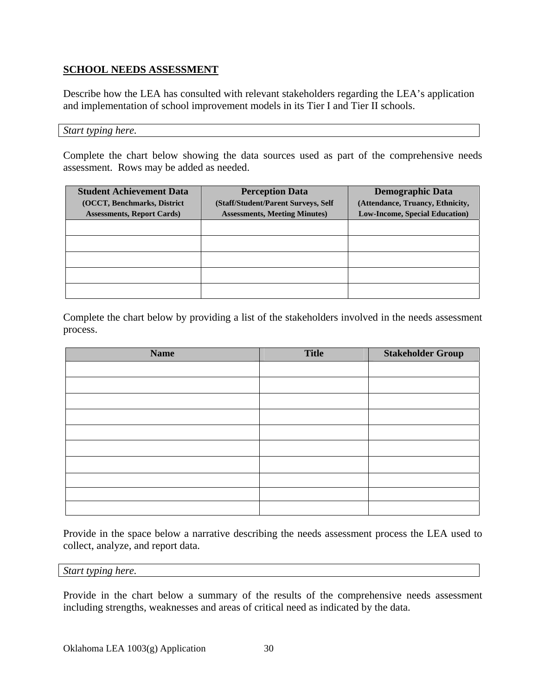### **SCHOOL NEEDS ASSESSMENT**

Describe how the LEA has consulted with relevant stakeholders regarding the LEA's application and implementation of school improvement models in its Tier I and Tier II schools.

#### *Start typing here.*

Complete the chart below showing the data sources used as part of the comprehensive needs assessment. Rows may be added as needed.

| <b>Student Achievement Data</b><br>(OCCT, Benchmarks, District<br><b>Assessments, Report Cards</b> ) | <b>Perception Data</b><br>(Staff/Student/Parent Surveys, Self)<br><b>Assessments, Meeting Minutes)</b> | <b>Demographic Data</b><br>(Attendance, Truancy, Ethnicity,<br><b>Low-Income, Special Education)</b> |
|------------------------------------------------------------------------------------------------------|--------------------------------------------------------------------------------------------------------|------------------------------------------------------------------------------------------------------|
|                                                                                                      |                                                                                                        |                                                                                                      |
|                                                                                                      |                                                                                                        |                                                                                                      |
|                                                                                                      |                                                                                                        |                                                                                                      |
|                                                                                                      |                                                                                                        |                                                                                                      |
|                                                                                                      |                                                                                                        |                                                                                                      |

Complete the chart below by providing a list of the stakeholders involved in the needs assessment process.

| <b>Name</b> | <b>Title</b> | <b>Stakeholder Group</b> |
|-------------|--------------|--------------------------|
|             |              |                          |
|             |              |                          |
|             |              |                          |
|             |              |                          |
|             |              |                          |
|             |              |                          |
|             |              |                          |
|             |              |                          |
|             |              |                          |
|             |              |                          |

Provide in the space below a narrative describing the needs assessment process the LEA used to collect, analyze, and report data.

*Start typing here.* 

Provide in the chart below a summary of the results of the comprehensive needs assessment including strengths, weaknesses and areas of critical need as indicated by the data.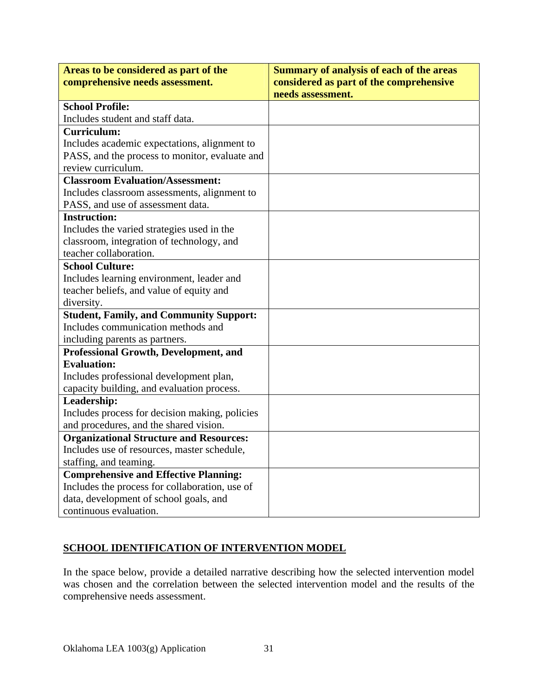| Areas to be considered as part of the          | <b>Summary of analysis of each of the areas</b>              |
|------------------------------------------------|--------------------------------------------------------------|
| comprehensive needs assessment.                | considered as part of the comprehensive<br>needs assessment. |
| <b>School Profile:</b>                         |                                                              |
| Includes student and staff data.               |                                                              |
| <b>Curriculum:</b>                             |                                                              |
|                                                |                                                              |
| Includes academic expectations, alignment to   |                                                              |
| PASS, and the process to monitor, evaluate and |                                                              |
| review curriculum.                             |                                                              |
| <b>Classroom Evaluation/Assessment:</b>        |                                                              |
| Includes classroom assessments, alignment to   |                                                              |
| PASS, and use of assessment data.              |                                                              |
| <b>Instruction:</b>                            |                                                              |
| Includes the varied strategies used in the     |                                                              |
| classroom, integration of technology, and      |                                                              |
| teacher collaboration.                         |                                                              |
| <b>School Culture:</b>                         |                                                              |
| Includes learning environment, leader and      |                                                              |
| teacher beliefs, and value of equity and       |                                                              |
| diversity.                                     |                                                              |
| <b>Student, Family, and Community Support:</b> |                                                              |
| Includes communication methods and             |                                                              |
| including parents as partners.                 |                                                              |
| <b>Professional Growth, Development, and</b>   |                                                              |
| <b>Evaluation:</b>                             |                                                              |
| Includes professional development plan,        |                                                              |
| capacity building, and evaluation process.     |                                                              |
| Leadership:                                    |                                                              |
| Includes process for decision making, policies |                                                              |
| and procedures, and the shared vision.         |                                                              |
| <b>Organizational Structure and Resources:</b> |                                                              |
| Includes use of resources, master schedule,    |                                                              |
| staffing, and teaming.                         |                                                              |
| <b>Comprehensive and Effective Planning:</b>   |                                                              |
| Includes the process for collaboration, use of |                                                              |
| data, development of school goals, and         |                                                              |
| continuous evaluation.                         |                                                              |

# **SCHOOL IDENTIFICATION OF INTERVENTION MODEL**

In the space below, provide a detailed narrative describing how the selected intervention model was chosen and the correlation between the selected intervention model and the results of the comprehensive needs assessment.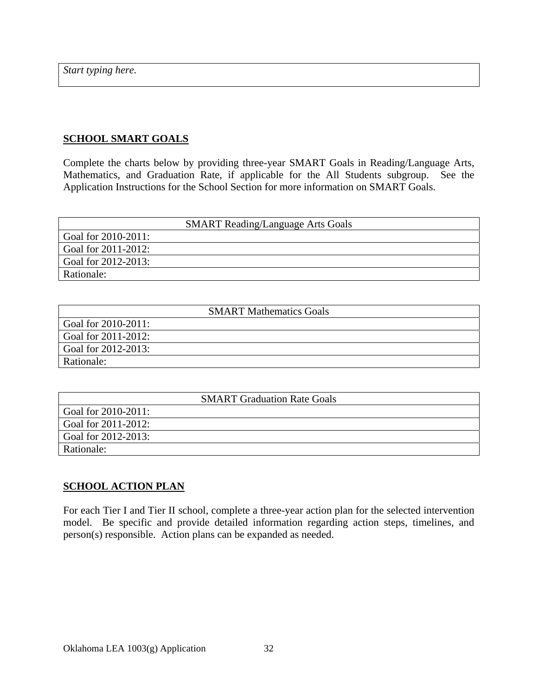*Start typing here.* 

#### **SCHOOL SMART GOALS**

Complete the charts below by providing three-year SMART Goals in Reading/Language Arts, Mathematics, and Graduation Rate, if applicable for the All Students subgroup. See the Application Instructions for the School Section for more information on SMART Goals.

|                     | <b>SMART Reading/Language Arts Goals</b> |
|---------------------|------------------------------------------|
| Goal for 2010-2011: |                                          |
| Goal for 2011-2012: |                                          |
| Goal for 2012-2013: |                                          |
| Rationale:          |                                          |

|                     | <b>SMART Mathematics Goals</b> |
|---------------------|--------------------------------|
| Goal for 2010-2011: |                                |
| Goal for 2011-2012: |                                |
| Goal for 2012-2013: |                                |
| Rationale:          |                                |

| <b>SMART Graduation Rate Goals</b> |
|------------------------------------|
| Goal for $2010 - 2011$ :           |
| Goal for 2011-2012:                |
| Goal for 2012-2013:                |
| Rationale:                         |

#### **SCHOOL ACTION PLAN**

For each Tier I and Tier II school, complete a three-year action plan for the selected intervention model. Be specific and provide detailed information regarding action steps, timelines, and person(s) responsible. Action plans can be expanded as needed.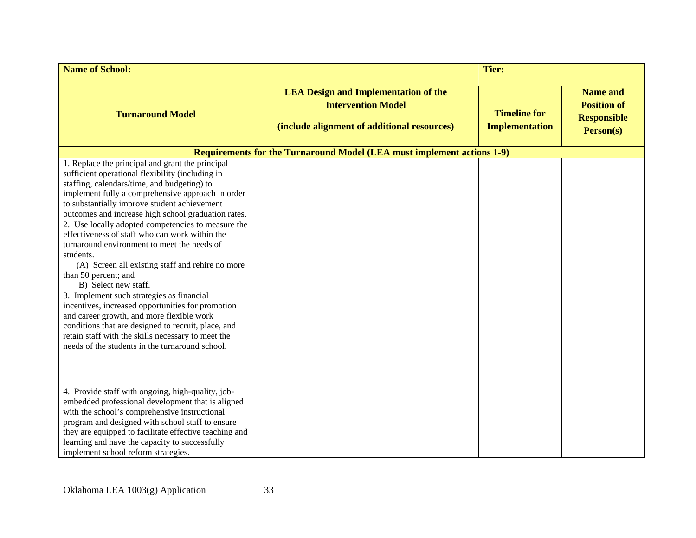| <b>Name of School:</b><br><b>Tier:</b>                                                                                                                                                                                                                                                                                                                                                                                                                                                                                                                                                                                                                                                                                                                                                                                                              |                                                                                                                         |                                              |                                                                          |
|-----------------------------------------------------------------------------------------------------------------------------------------------------------------------------------------------------------------------------------------------------------------------------------------------------------------------------------------------------------------------------------------------------------------------------------------------------------------------------------------------------------------------------------------------------------------------------------------------------------------------------------------------------------------------------------------------------------------------------------------------------------------------------------------------------------------------------------------------------|-------------------------------------------------------------------------------------------------------------------------|----------------------------------------------|--------------------------------------------------------------------------|
| <b>Turnaround Model</b>                                                                                                                                                                                                                                                                                                                                                                                                                                                                                                                                                                                                                                                                                                                                                                                                                             | <b>LEA Design and Implementation of the</b><br><b>Intervention Model</b><br>(include alignment of additional resources) | <b>Timeline for</b><br><b>Implementation</b> | <b>Name and</b><br><b>Position of</b><br><b>Responsible</b><br>Person(s) |
|                                                                                                                                                                                                                                                                                                                                                                                                                                                                                                                                                                                                                                                                                                                                                                                                                                                     | <b>Requirements for the Turnaround Model (LEA must implement actions 1-9)</b>                                           |                                              |                                                                          |
| 1. Replace the principal and grant the principal<br>sufficient operational flexibility (including in<br>staffing, calendars/time, and budgeting) to<br>implement fully a comprehensive approach in order<br>to substantially improve student achievement<br>outcomes and increase high school graduation rates.<br>2. Use locally adopted competencies to measure the<br>effectiveness of staff who can work within the<br>turnaround environment to meet the needs of<br>students.<br>(A) Screen all existing staff and rehire no more<br>than 50 percent; and<br>B) Select new staff.<br>3. Implement such strategies as financial<br>incentives, increased opportunities for promotion<br>and career growth, and more flexible work<br>conditions that are designed to recruit, place, and<br>retain staff with the skills necessary to meet the |                                                                                                                         |                                              |                                                                          |
| needs of the students in the turnaround school.                                                                                                                                                                                                                                                                                                                                                                                                                                                                                                                                                                                                                                                                                                                                                                                                     |                                                                                                                         |                                              |                                                                          |
| 4. Provide staff with ongoing, high-quality, job-<br>embedded professional development that is aligned<br>with the school's comprehensive instructional<br>program and designed with school staff to ensure<br>they are equipped to facilitate effective teaching and<br>learning and have the capacity to successfully<br>implement school reform strategies.                                                                                                                                                                                                                                                                                                                                                                                                                                                                                      |                                                                                                                         |                                              |                                                                          |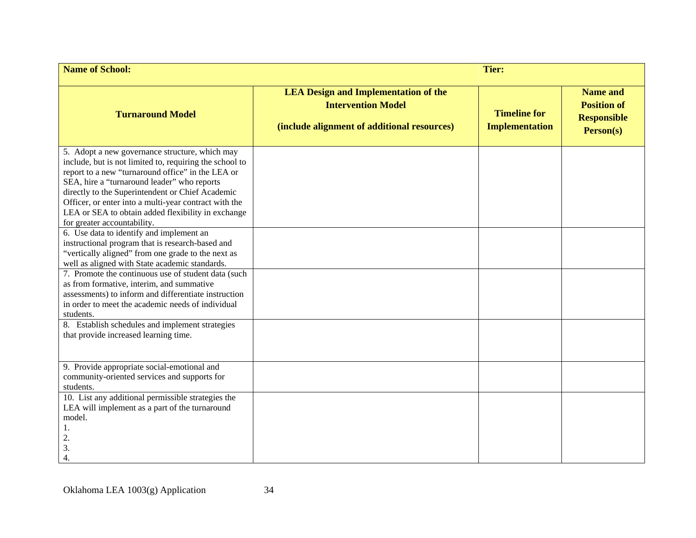| <b>Name of School:</b><br><b>Tier:</b>                                                                                                                                                                                                                                                                                                                                                                                                                                                                          |                                                                                                                         |                                              |                                                                          |
|-----------------------------------------------------------------------------------------------------------------------------------------------------------------------------------------------------------------------------------------------------------------------------------------------------------------------------------------------------------------------------------------------------------------------------------------------------------------------------------------------------------------|-------------------------------------------------------------------------------------------------------------------------|----------------------------------------------|--------------------------------------------------------------------------|
| <b>Turnaround Model</b>                                                                                                                                                                                                                                                                                                                                                                                                                                                                                         | <b>LEA Design and Implementation of the</b><br><b>Intervention Model</b><br>(include alignment of additional resources) | <b>Timeline for</b><br><b>Implementation</b> | <b>Name and</b><br><b>Position of</b><br><b>Responsible</b><br>Person(s) |
| 5. Adopt a new governance structure, which may<br>include, but is not limited to, requiring the school to<br>report to a new "turnaround office" in the LEA or<br>SEA, hire a "turnaround leader" who reports<br>directly to the Superintendent or Chief Academic<br>Officer, or enter into a multi-year contract with the<br>LEA or SEA to obtain added flexibility in exchange<br>for greater accountability.<br>6. Use data to identify and implement an<br>instructional program that is research-based and |                                                                                                                         |                                              |                                                                          |
| "vertically aligned" from one grade to the next as<br>well as aligned with State academic standards.<br>7. Promote the continuous use of student data (such                                                                                                                                                                                                                                                                                                                                                     |                                                                                                                         |                                              |                                                                          |
| as from formative, interim, and summative<br>assessments) to inform and differentiate instruction<br>in order to meet the academic needs of individual<br>students.                                                                                                                                                                                                                                                                                                                                             |                                                                                                                         |                                              |                                                                          |
| 8. Establish schedules and implement strategies<br>that provide increased learning time.                                                                                                                                                                                                                                                                                                                                                                                                                        |                                                                                                                         |                                              |                                                                          |
| 9. Provide appropriate social-emotional and<br>community-oriented services and supports for<br>students.                                                                                                                                                                                                                                                                                                                                                                                                        |                                                                                                                         |                                              |                                                                          |
| 10. List any additional permissible strategies the<br>LEA will implement as a part of the turnaround<br>model.<br>1.<br>2.<br>3.<br>4.                                                                                                                                                                                                                                                                                                                                                                          |                                                                                                                         |                                              |                                                                          |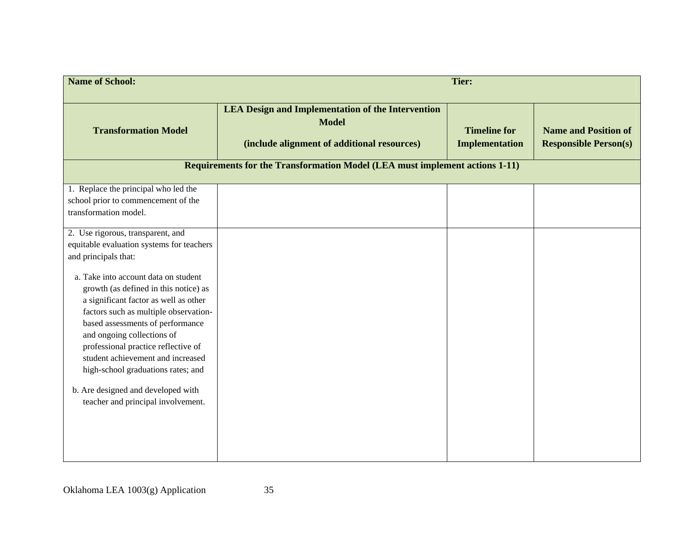| <b>Name of School:</b>                                                                                                                                                                    | <b>Tier:</b>                                                                                                                                                                                           |                                              |                                                             |  |
|-------------------------------------------------------------------------------------------------------------------------------------------------------------------------------------------|--------------------------------------------------------------------------------------------------------------------------------------------------------------------------------------------------------|----------------------------------------------|-------------------------------------------------------------|--|
| <b>Transformation Model</b>                                                                                                                                                               | <b>LEA Design and Implementation of the Intervention</b><br><b>Model</b><br>(include alignment of additional resources)<br>Requirements for the Transformation Model (LEA must implement actions 1-11) | <b>Timeline for</b><br><b>Implementation</b> | <b>Name and Position of</b><br><b>Responsible Person(s)</b> |  |
| 1. Replace the principal who led the<br>school prior to commencement of the<br>transformation model.                                                                                      |                                                                                                                                                                                                        |                                              |                                                             |  |
| 2. Use rigorous, transparent, and<br>equitable evaluation systems for teachers<br>and principals that:<br>a. Take into account data on student                                            |                                                                                                                                                                                                        |                                              |                                                             |  |
| growth (as defined in this notice) as<br>a significant factor as well as other<br>factors such as multiple observation-<br>based assessments of performance<br>and ongoing collections of |                                                                                                                                                                                                        |                                              |                                                             |  |
| professional practice reflective of<br>student achievement and increased<br>high-school graduations rates; and                                                                            |                                                                                                                                                                                                        |                                              |                                                             |  |
| b. Are designed and developed with<br>teacher and principal involvement.                                                                                                                  |                                                                                                                                                                                                        |                                              |                                                             |  |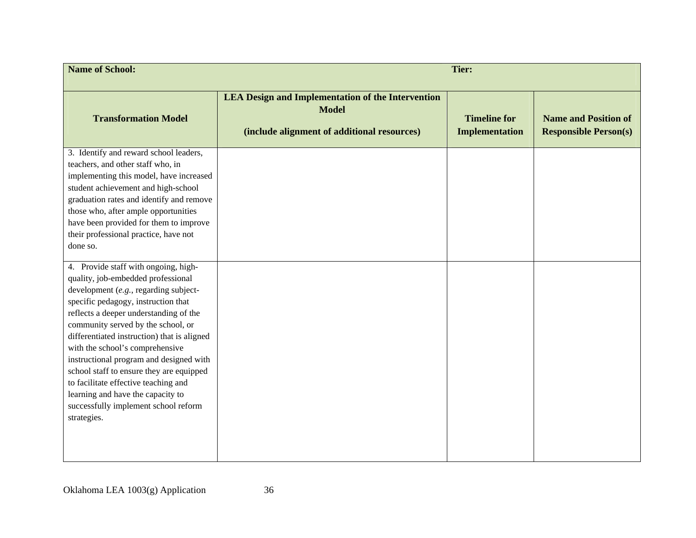| <b>Name of School:</b>                                                                                                                                                                                                                                                                                                                                                                                                                                                                                                                                  | <b>Tier:</b>                                                                                                            |                                              |                                                             |  |
|---------------------------------------------------------------------------------------------------------------------------------------------------------------------------------------------------------------------------------------------------------------------------------------------------------------------------------------------------------------------------------------------------------------------------------------------------------------------------------------------------------------------------------------------------------|-------------------------------------------------------------------------------------------------------------------------|----------------------------------------------|-------------------------------------------------------------|--|
| <b>Transformation Model</b>                                                                                                                                                                                                                                                                                                                                                                                                                                                                                                                             | <b>LEA Design and Implementation of the Intervention</b><br><b>Model</b><br>(include alignment of additional resources) | <b>Timeline for</b><br><b>Implementation</b> | <b>Name and Position of</b><br><b>Responsible Person(s)</b> |  |
| 3. Identify and reward school leaders,<br>teachers, and other staff who, in<br>implementing this model, have increased<br>student achievement and high-school<br>graduation rates and identify and remove<br>those who, after ample opportunities<br>have been provided for them to improve<br>their professional practice, have not<br>done so.                                                                                                                                                                                                        |                                                                                                                         |                                              |                                                             |  |
| 4. Provide staff with ongoing, high-<br>quality, job-embedded professional<br>development (e.g., regarding subject-<br>specific pedagogy, instruction that<br>reflects a deeper understanding of the<br>community served by the school, or<br>differentiated instruction) that is aligned<br>with the school's comprehensive<br>instructional program and designed with<br>school staff to ensure they are equipped<br>to facilitate effective teaching and<br>learning and have the capacity to<br>successfully implement school reform<br>strategies. |                                                                                                                         |                                              |                                                             |  |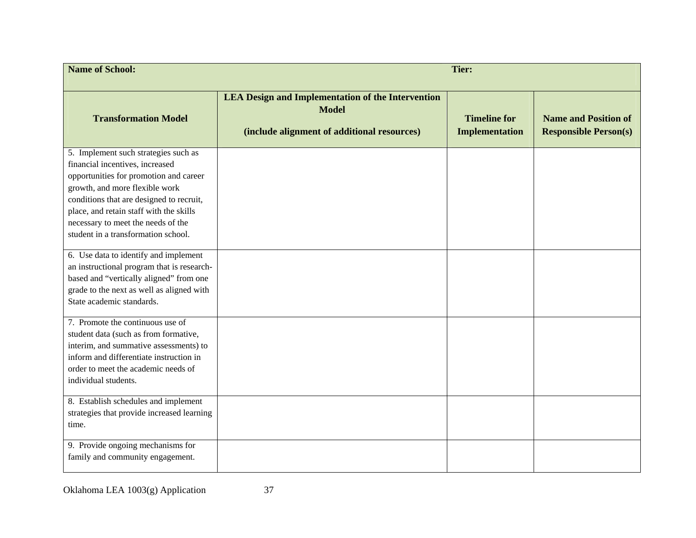| <b>Name of School:</b>                                                                                                                                                                                                                                                                                                  | <b>Tier:</b>                                                                                                            |                                              |                                                             |  |
|-------------------------------------------------------------------------------------------------------------------------------------------------------------------------------------------------------------------------------------------------------------------------------------------------------------------------|-------------------------------------------------------------------------------------------------------------------------|----------------------------------------------|-------------------------------------------------------------|--|
| <b>Transformation Model</b>                                                                                                                                                                                                                                                                                             | <b>LEA Design and Implementation of the Intervention</b><br><b>Model</b><br>(include alignment of additional resources) | <b>Timeline for</b><br><b>Implementation</b> | <b>Name and Position of</b><br><b>Responsible Person(s)</b> |  |
| 5. Implement such strategies such as<br>financial incentives, increased<br>opportunities for promotion and career<br>growth, and more flexible work<br>conditions that are designed to recruit,<br>place, and retain staff with the skills<br>necessary to meet the needs of the<br>student in a transformation school. |                                                                                                                         |                                              |                                                             |  |
| 6. Use data to identify and implement<br>an instructional program that is research-<br>based and "vertically aligned" from one<br>grade to the next as well as aligned with<br>State academic standards.                                                                                                                |                                                                                                                         |                                              |                                                             |  |
| 7. Promote the continuous use of<br>student data (such as from formative,<br>interim, and summative assessments) to<br>inform and differentiate instruction in<br>order to meet the academic needs of<br>individual students.                                                                                           |                                                                                                                         |                                              |                                                             |  |
| 8. Establish schedules and implement<br>strategies that provide increased learning<br>time.<br>9. Provide ongoing mechanisms for                                                                                                                                                                                        |                                                                                                                         |                                              |                                                             |  |
| family and community engagement.                                                                                                                                                                                                                                                                                        |                                                                                                                         |                                              |                                                             |  |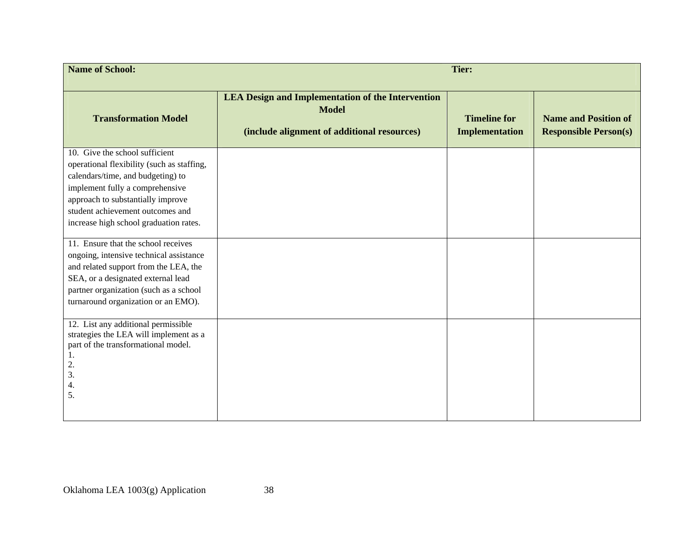| <b>Name of School:</b>                                                                                                                                                                                                                                                  | <b>Tier:</b>                                                                                                            |                                              |                                                             |  |  |
|-------------------------------------------------------------------------------------------------------------------------------------------------------------------------------------------------------------------------------------------------------------------------|-------------------------------------------------------------------------------------------------------------------------|----------------------------------------------|-------------------------------------------------------------|--|--|
| <b>Transformation Model</b>                                                                                                                                                                                                                                             | <b>LEA Design and Implementation of the Intervention</b><br><b>Model</b><br>(include alignment of additional resources) | <b>Timeline for</b><br><b>Implementation</b> | <b>Name and Position of</b><br><b>Responsible Person(s)</b> |  |  |
| 10. Give the school sufficient<br>operational flexibility (such as staffing,<br>calendars/time, and budgeting) to<br>implement fully a comprehensive<br>approach to substantially improve<br>student achievement outcomes and<br>increase high school graduation rates. |                                                                                                                         |                                              |                                                             |  |  |
| 11. Ensure that the school receives<br>ongoing, intensive technical assistance<br>and related support from the LEA, the<br>SEA, or a designated external lead<br>partner organization (such as a school<br>turnaround organization or an EMO).                          |                                                                                                                         |                                              |                                                             |  |  |
| 12. List any additional permissible<br>strategies the LEA will implement as a<br>part of the transformational model.<br>1.<br>2.<br>3.<br>4.<br>5.                                                                                                                      |                                                                                                                         |                                              |                                                             |  |  |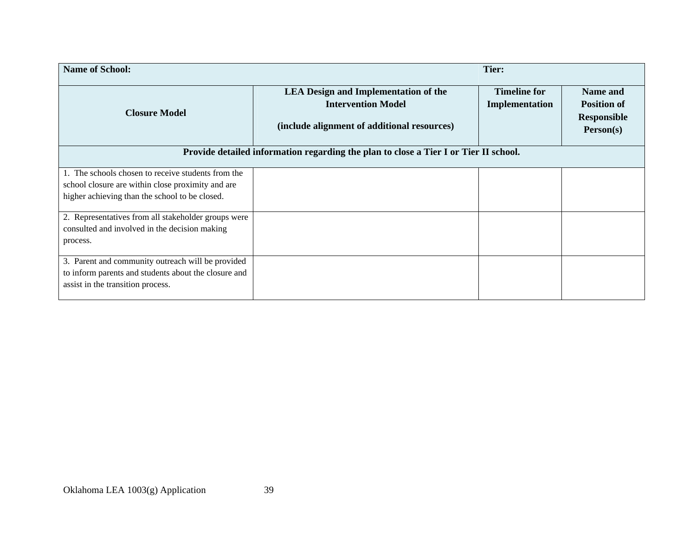| <b>Name of School:</b><br>Tier:                      |                                                                                                                                                                                                                 |                                       |                                                                   |
|------------------------------------------------------|-----------------------------------------------------------------------------------------------------------------------------------------------------------------------------------------------------------------|---------------------------------------|-------------------------------------------------------------------|
| <b>Closure Model</b>                                 | <b>LEA Design and Implementation of the</b><br><b>Intervention Model</b><br>(include alignment of additional resources)<br>Provide detailed information regarding the plan to close a Tier I or Tier II school. | <b>Timeline for</b><br>Implementation | Name and<br><b>Position of</b><br><b>Responsible</b><br>Person(s) |
|                                                      |                                                                                                                                                                                                                 |                                       |                                                                   |
| 1. The schools chosen to receive students from the   |                                                                                                                                                                                                                 |                                       |                                                                   |
| school closure are within close proximity and are    |                                                                                                                                                                                                                 |                                       |                                                                   |
| higher achieving than the school to be closed.       |                                                                                                                                                                                                                 |                                       |                                                                   |
| 2. Representatives from all stakeholder groups were  |                                                                                                                                                                                                                 |                                       |                                                                   |
| consulted and involved in the decision making        |                                                                                                                                                                                                                 |                                       |                                                                   |
| process.                                             |                                                                                                                                                                                                                 |                                       |                                                                   |
| 3. Parent and community outreach will be provided    |                                                                                                                                                                                                                 |                                       |                                                                   |
| to inform parents and students about the closure and |                                                                                                                                                                                                                 |                                       |                                                                   |
| assist in the transition process.                    |                                                                                                                                                                                                                 |                                       |                                                                   |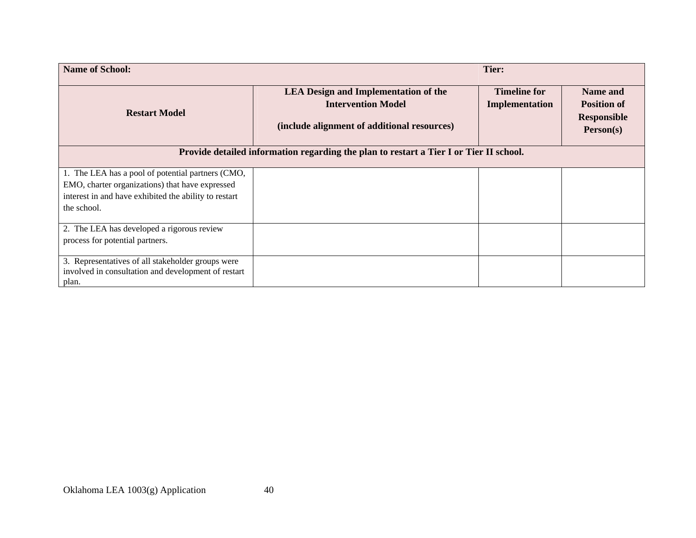| <b>Name of School:</b><br>Tier:                                                                                                                                              |                                                                                                                         |                                       |                                                                   |
|------------------------------------------------------------------------------------------------------------------------------------------------------------------------------|-------------------------------------------------------------------------------------------------------------------------|---------------------------------------|-------------------------------------------------------------------|
| <b>Restart Model</b>                                                                                                                                                         | <b>LEA Design and Implementation of the</b><br><b>Intervention Model</b><br>(include alignment of additional resources) | <b>Timeline for</b><br>Implementation | Name and<br><b>Position of</b><br><b>Responsible</b><br>Person(s) |
|                                                                                                                                                                              | Provide detailed information regarding the plan to restart a Tier I or Tier II school.                                  |                                       |                                                                   |
| 1. The LEA has a pool of potential partners (CMO,<br>EMO, charter organizations) that have expressed<br>interest in and have exhibited the ability to restart<br>the school. |                                                                                                                         |                                       |                                                                   |
| 2. The LEA has developed a rigorous review<br>process for potential partners.                                                                                                |                                                                                                                         |                                       |                                                                   |
| 3. Representatives of all stakeholder groups were<br>involved in consultation and development of restart<br>plan.                                                            |                                                                                                                         |                                       |                                                                   |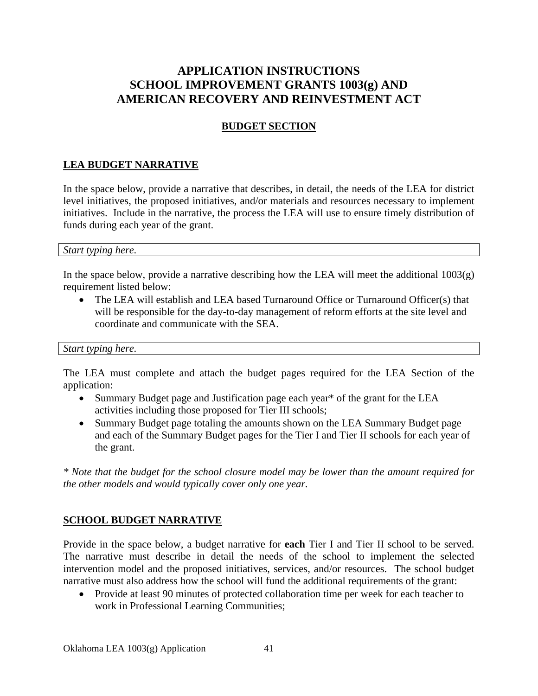# **APPLICATION INSTRUCTIONS SCHOOL IMPROVEMENT GRANTS 1003(g) AND AMERICAN RECOVERY AND REINVESTMENT ACT**

### **BUDGET SECTION**

## **LEA BUDGET NARRATIVE**

In the space below, provide a narrative that describes, in detail, the needs of the LEA for district level initiatives, the proposed initiatives, and/or materials and resources necessary to implement initiatives. Include in the narrative, the process the LEA will use to ensure timely distribution of funds during each year of the grant.

#### *Start typing here.*

In the space below, provide a narrative describing how the LEA will meet the additional  $1003(g)$ requirement listed below:

• The LEA will establish and LEA based Turnaround Office or Turnaround Officer(s) that will be responsible for the day-to-day management of reform efforts at the site level and coordinate and communicate with the SEA.

#### *Start typing here.*

The LEA must complete and attach the budget pages required for the LEA Section of the application:

- Summary Budget page and Justification page each year<sup>\*</sup> of the grant for the LEA activities including those proposed for Tier III schools;
- Summary Budget page totaling the amounts shown on the LEA Summary Budget page and each of the Summary Budget pages for the Tier I and Tier II schools for each year of the grant.

*\* Note that the budget for the school closure model may be lower than the amount required for the other models and would typically cover only one year.* 

#### **SCHOOL BUDGET NARRATIVE**

Provide in the space below, a budget narrative for **each** Tier I and Tier II school to be served. The narrative must describe in detail the needs of the school to implement the selected intervention model and the proposed initiatives, services, and/or resources. The school budget narrative must also address how the school will fund the additional requirements of the grant:

• Provide at least 90 minutes of protected collaboration time per week for each teacher to work in Professional Learning Communities;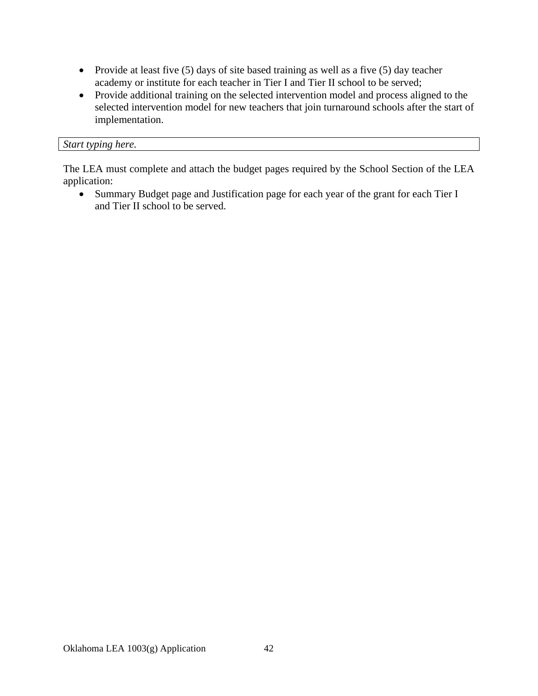- Provide at least five (5) days of site based training as well as a five (5) day teacher academy or institute for each teacher in Tier I and Tier II school to be served;
- Provide additional training on the selected intervention model and process aligned to the selected intervention model for new teachers that join turnaround schools after the start of implementation.

#### *Start typing here.*

The LEA must complete and attach the budget pages required by the School Section of the LEA application:

 Summary Budget page and Justification page for each year of the grant for each Tier I and Tier II school to be served.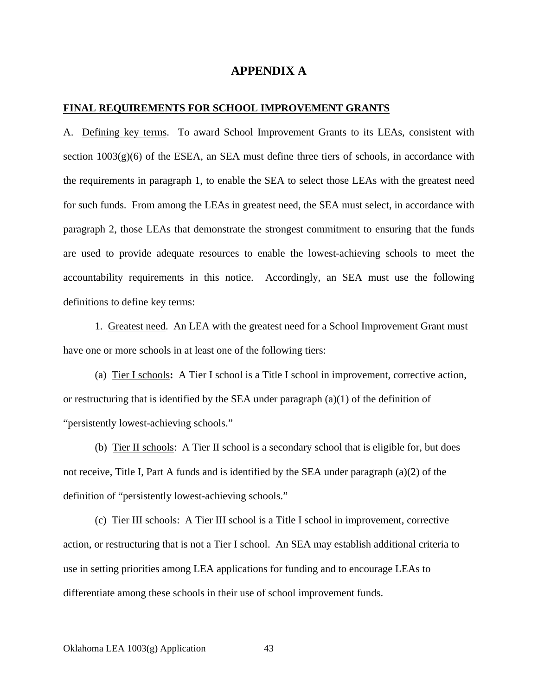#### **APPENDIX A**

#### **FINAL REQUIREMENTS FOR SCHOOL IMPROVEMENT GRANTS**

A. Defining key terms. To award School Improvement Grants to its LEAs, consistent with section  $1003(g)(6)$  of the ESEA, an SEA must define three tiers of schools, in accordance with the requirements in paragraph 1, to enable the SEA to select those LEAs with the greatest need for such funds. From among the LEAs in greatest need, the SEA must select, in accordance with paragraph 2, those LEAs that demonstrate the strongest commitment to ensuring that the funds are used to provide adequate resources to enable the lowest-achieving schools to meet the accountability requirements in this notice. Accordingly, an SEA must use the following definitions to define key terms:

1. Greatest need. An LEA with the greatest need for a School Improvement Grant must have one or more schools in at least one of the following tiers:

(a) Tier I schools**:** A Tier I school is a Title I school in improvement, corrective action, or restructuring that is identified by the SEA under paragraph (a)(1) of the definition of "persistently lowest-achieving schools."

(b) Tier II schools: A Tier II school is a secondary school that is eligible for, but does not receive, Title I, Part A funds and is identified by the SEA under paragraph (a)(2) of the definition of "persistently lowest-achieving schools."

(c) Tier III schools: A Tier III school is a Title I school in improvement, corrective action, or restructuring that is not a Tier I school. An SEA may establish additional criteria to use in setting priorities among LEA applications for funding and to encourage LEAs to differentiate among these schools in their use of school improvement funds.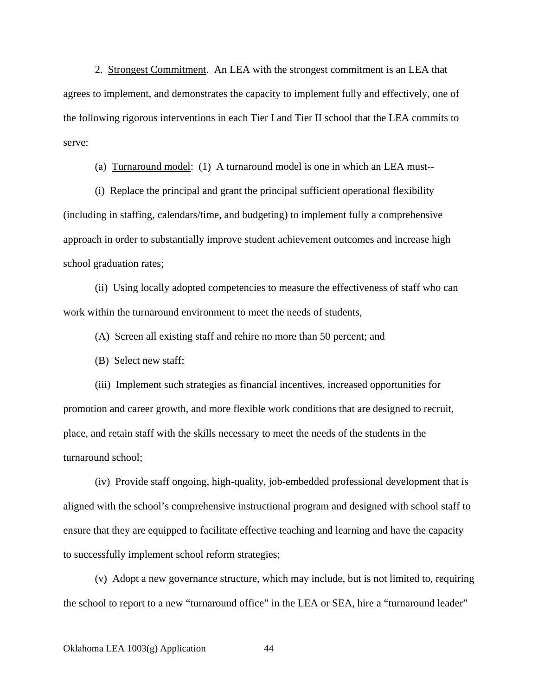2. Strongest Commitment. An LEA with the strongest commitment is an LEA that agrees to implement, and demonstrates the capacity to implement fully and effectively, one of the following rigorous interventions in each Tier I and Tier II school that the LEA commits to serve:

(a) Turnaround model: (1) A turnaround model is one in which an LEA must--

(i) Replace the principal and grant the principal sufficient operational flexibility (including in staffing, calendars/time, and budgeting) to implement fully a comprehensive approach in order to substantially improve student achievement outcomes and increase high school graduation rates;

(ii) Using locally adopted competencies to measure the effectiveness of staff who can work within the turnaround environment to meet the needs of students,

(A) Screen all existing staff and rehire no more than 50 percent; and

(B) Select new staff;

(iii) Implement such strategies as financial incentives, increased opportunities for promotion and career growth, and more flexible work conditions that are designed to recruit, place, and retain staff with the skills necessary to meet the needs of the students in the turnaround school;

(iv) Provide staff ongoing, high-quality, job-embedded professional development that is aligned with the school's comprehensive instructional program and designed with school staff to ensure that they are equipped to facilitate effective teaching and learning and have the capacity to successfully implement school reform strategies;

(v) Adopt a new governance structure, which may include, but is not limited to, requiring the school to report to a new "turnaround office" in the LEA or SEA, hire a "turnaround leader"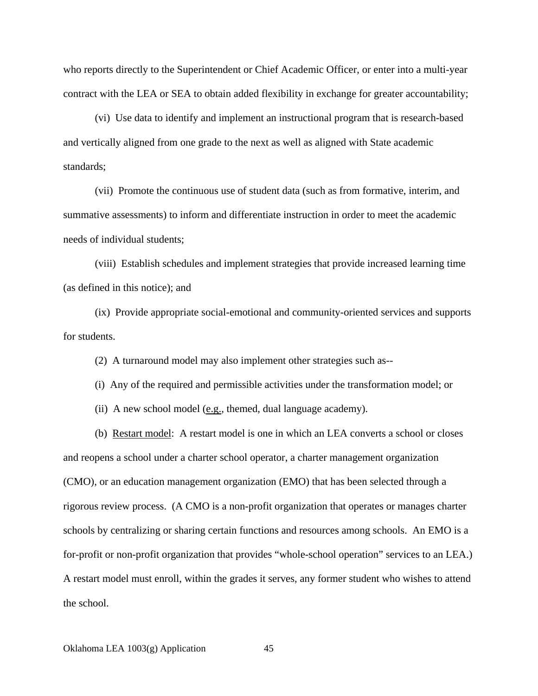who reports directly to the Superintendent or Chief Academic Officer, or enter into a multi-year contract with the LEA or SEA to obtain added flexibility in exchange for greater accountability;

(vi) Use data to identify and implement an instructional program that is research-based and vertically aligned from one grade to the next as well as aligned with State academic standards;

(vii) Promote the continuous use of student data (such as from formative, interim, and summative assessments) to inform and differentiate instruction in order to meet the academic needs of individual students;

(viii) Establish schedules and implement strategies that provide increased learning time (as defined in this notice); and

(ix) Provide appropriate social-emotional and community-oriented services and supports for students.

(2) A turnaround model may also implement other strategies such as--

(i) Any of the required and permissible activities under the transformation model; or

(ii) A new school model  $(e.g.,$  themed, dual language academy).

(b) Restart model: A restart model is one in which an LEA converts a school or closes and reopens a school under a charter school operator, a charter management organization (CMO), or an education management organization (EMO) that has been selected through a rigorous review process. (A CMO is a non-profit organization that operates or manages charter schools by centralizing or sharing certain functions and resources among schools. An EMO is a for-profit or non-profit organization that provides "whole-school operation" services to an LEA.) A restart model must enroll, within the grades it serves, any former student who wishes to attend the school.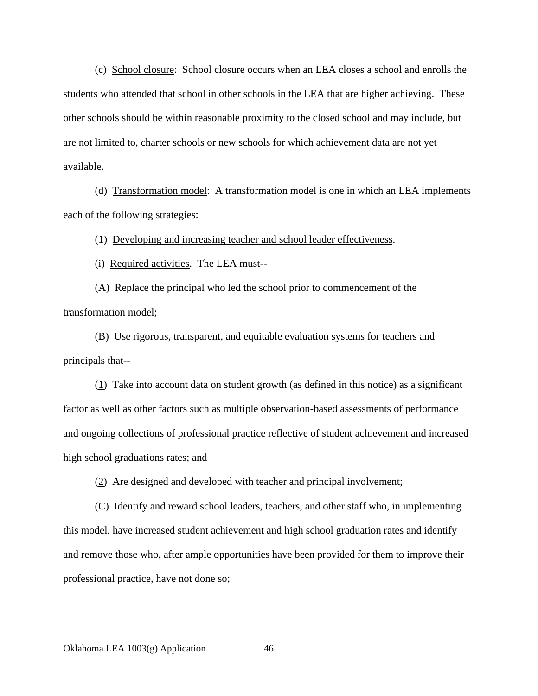(c) School closure: School closure occurs when an LEA closes a school and enrolls the students who attended that school in other schools in the LEA that are higher achieving. These other schools should be within reasonable proximity to the closed school and may include, but are not limited to, charter schools or new schools for which achievement data are not yet available.

(d) Transformation model: A transformation model is one in which an LEA implements each of the following strategies:

(1) Developing and increasing teacher and school leader effectiveness.

(i) Required activities. The LEA must--

(A) Replace the principal who led the school prior to commencement of the transformation model;

(B) Use rigorous, transparent, and equitable evaluation systems for teachers and principals that--

 $(1)$  Take into account data on student growth (as defined in this notice) as a significant factor as well as other factors such as multiple observation-based assessments of performance and ongoing collections of professional practice reflective of student achievement and increased high school graduations rates; and

(2) Are designed and developed with teacher and principal involvement;

(C) Identify and reward school leaders, teachers, and other staff who, in implementing this model, have increased student achievement and high school graduation rates and identify and remove those who, after ample opportunities have been provided for them to improve their professional practice, have not done so;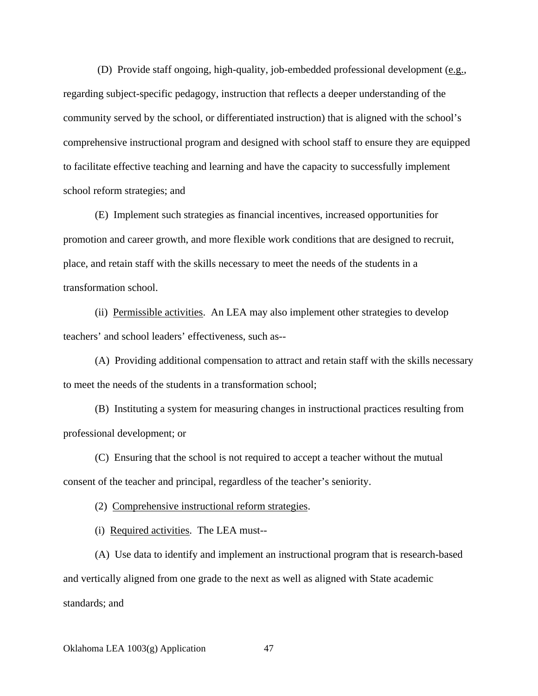(D) Provide staff ongoing, high-quality, job-embedded professional development (e.g., regarding subject-specific pedagogy, instruction that reflects a deeper understanding of the community served by the school, or differentiated instruction) that is aligned with the school's comprehensive instructional program and designed with school staff to ensure they are equipped to facilitate effective teaching and learning and have the capacity to successfully implement school reform strategies; and

(E) Implement such strategies as financial incentives, increased opportunities for promotion and career growth, and more flexible work conditions that are designed to recruit, place, and retain staff with the skills necessary to meet the needs of the students in a transformation school.

(ii) Permissible activities. An LEA may also implement other strategies to develop teachers' and school leaders' effectiveness, such as--

(A) Providing additional compensation to attract and retain staff with the skills necessary to meet the needs of the students in a transformation school;

(B) Instituting a system for measuring changes in instructional practices resulting from professional development; or

(C) Ensuring that the school is not required to accept a teacher without the mutual consent of the teacher and principal, regardless of the teacher's seniority.

(2) Comprehensive instructional reform strategies.

(i) Required activities. The LEA must--

(A) Use data to identify and implement an instructional program that is research-based and vertically aligned from one grade to the next as well as aligned with State academic standards; and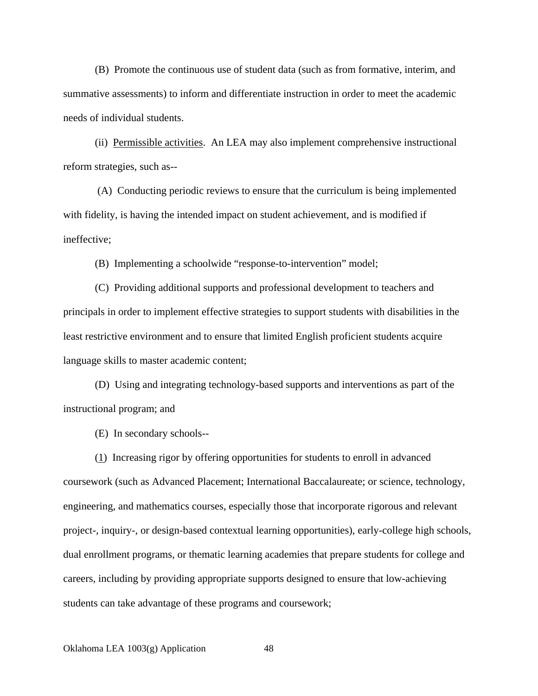(B) Promote the continuous use of student data (such as from formative, interim, and summative assessments) to inform and differentiate instruction in order to meet the academic needs of individual students.

(ii) Permissible activities. An LEA may also implement comprehensive instructional reform strategies, such as--

 (A) Conducting periodic reviews to ensure that the curriculum is being implemented with fidelity, is having the intended impact on student achievement, and is modified if ineffective;

(B) Implementing a schoolwide "response-to-intervention" model;

(C) Providing additional supports and professional development to teachers and principals in order to implement effective strategies to support students with disabilities in the least restrictive environment and to ensure that limited English proficient students acquire language skills to master academic content;

(D) Using and integrating technology-based supports and interventions as part of the instructional program; and

(E) In secondary schools--

(1) Increasing rigor by offering opportunities for students to enroll in advanced coursework (such as Advanced Placement; International Baccalaureate; or science, technology, engineering, and mathematics courses, especially those that incorporate rigorous and relevant project-, inquiry-, or design-based contextual learning opportunities), early-college high schools, dual enrollment programs, or thematic learning academies that prepare students for college and careers, including by providing appropriate supports designed to ensure that low-achieving students can take advantage of these programs and coursework;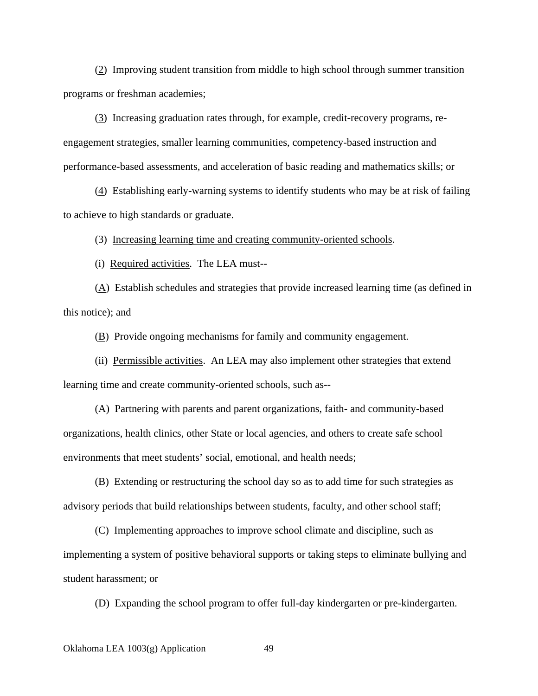(2) Improving student transition from middle to high school through summer transition programs or freshman academies;

(3) Increasing graduation rates through, for example, credit-recovery programs, reengagement strategies, smaller learning communities, competency-based instruction and performance-based assessments, and acceleration of basic reading and mathematics skills; or

(4) Establishing early-warning systems to identify students who may be at risk of failing to achieve to high standards or graduate.

(3) Increasing learning time and creating community-oriented schools.

(i) Required activities. The LEA must--

(A) Establish schedules and strategies that provide increased learning time (as defined in this notice); and

 $\underline{(B)}$  Provide ongoing mechanisms for family and community engagement.

(ii) Permissible activities. An LEA may also implement other strategies that extend learning time and create community-oriented schools, such as--

(A) Partnering with parents and parent organizations, faith- and community-based organizations, health clinics, other State or local agencies, and others to create safe school environments that meet students' social, emotional, and health needs;

(B) Extending or restructuring the school day so as to add time for such strategies as advisory periods that build relationships between students, faculty, and other school staff;

(C) Implementing approaches to improve school climate and discipline, such as implementing a system of positive behavioral supports or taking steps to eliminate bullying and student harassment; or

(D) Expanding the school program to offer full-day kindergarten or pre-kindergarten.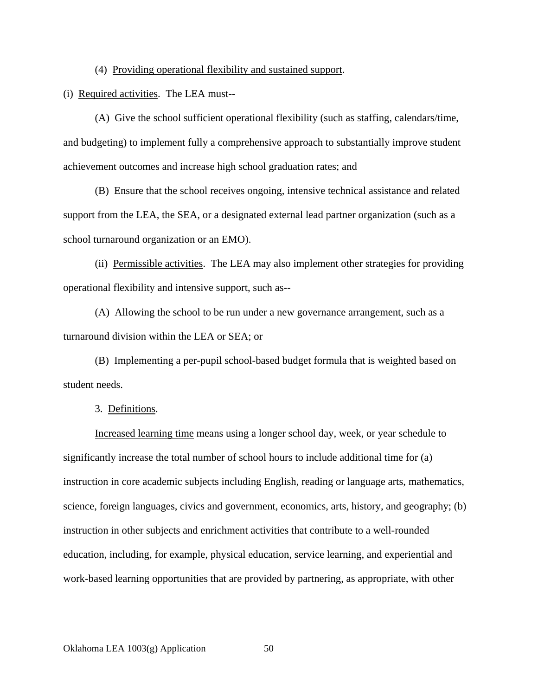(4) Providing operational flexibility and sustained support.

(i) Required activities. The LEA must--

(A) Give the school sufficient operational flexibility (such as staffing, calendars/time, and budgeting) to implement fully a comprehensive approach to substantially improve student achievement outcomes and increase high school graduation rates; and

(B) Ensure that the school receives ongoing, intensive technical assistance and related support from the LEA, the SEA, or a designated external lead partner organization (such as a school turnaround organization or an EMO).

(ii) Permissible activities. The LEA may also implement other strategies for providing operational flexibility and intensive support, such as--

(A) Allowing the school to be run under a new governance arrangement, such as a turnaround division within the LEA or SEA; or

(B) Implementing a per-pupil school-based budget formula that is weighted based on student needs.

3. Definitions.

Increased learning time means using a longer school day, week, or year schedule to significantly increase the total number of school hours to include additional time for (a) instruction in core academic subjects including English, reading or language arts, mathematics, science, foreign languages, civics and government, economics, arts, history, and geography; (b) instruction in other subjects and enrichment activities that contribute to a well-rounded education, including, for example, physical education, service learning, and experiential and work-based learning opportunities that are provided by partnering, as appropriate, with other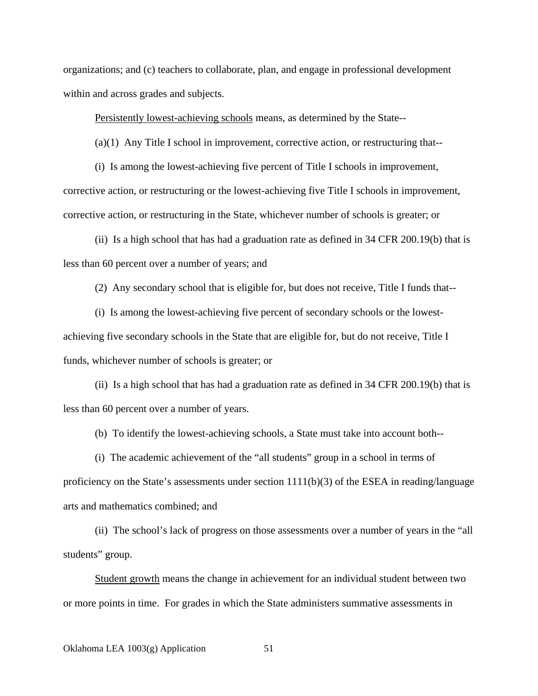organizations; and (c) teachers to collaborate, plan, and engage in professional development within and across grades and subjects.

Persistently lowest-achieving schools means, as determined by the State--

(a)(1) Any Title I school in improvement, corrective action, or restructuring that--

(i) Is among the lowest-achieving five percent of Title I schools in improvement, corrective action, or restructuring or the lowest-achieving five Title I schools in improvement, corrective action, or restructuring in the State, whichever number of schools is greater; or

(ii) Is a high school that has had a graduation rate as defined in 34 CFR 200.19(b) that is less than 60 percent over a number of years; and

(2) Any secondary school that is eligible for, but does not receive, Title I funds that--

(i) Is among the lowest-achieving five percent of secondary schools or the lowestachieving five secondary schools in the State that are eligible for, but do not receive, Title I funds, whichever number of schools is greater; or

(ii) Is a high school that has had a graduation rate as defined in 34 CFR 200.19(b) that is less than 60 percent over a number of years.

(b) To identify the lowest-achieving schools, a State must take into account both--

(i) The academic achievement of the "all students" group in a school in terms of proficiency on the State's assessments under section  $1111(b)(3)$  of the ESEA in reading/language arts and mathematics combined; and

(ii) The school's lack of progress on those assessments over a number of years in the "all students" group.

Student growth means the change in achievement for an individual student between two or more points in time. For grades in which the State administers summative assessments in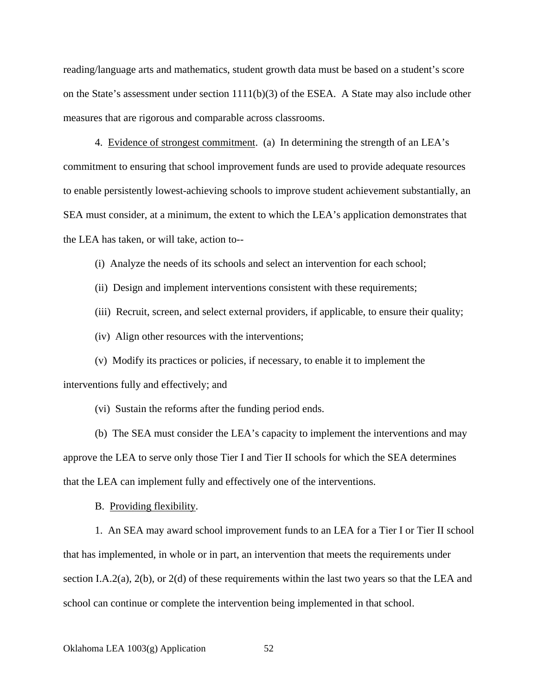reading/language arts and mathematics, student growth data must be based on a student's score on the State's assessment under section  $1111(b)(3)$  of the ESEA. A State may also include other measures that are rigorous and comparable across classrooms.

4. Evidence of strongest commitment. (a) In determining the strength of an LEA's commitment to ensuring that school improvement funds are used to provide adequate resources to enable persistently lowest-achieving schools to improve student achievement substantially, an SEA must consider, at a minimum, the extent to which the LEA's application demonstrates that the LEA has taken, or will take, action to--

(i) Analyze the needs of its schools and select an intervention for each school;

(ii) Design and implement interventions consistent with these requirements;

(iii) Recruit, screen, and select external providers, if applicable, to ensure their quality;

(iv) Align other resources with the interventions;

(v) Modify its practices or policies, if necessary, to enable it to implement the interventions fully and effectively; and

(vi) Sustain the reforms after the funding period ends.

(b) The SEA must consider the LEA's capacity to implement the interventions and may approve the LEA to serve only those Tier I and Tier II schools for which the SEA determines that the LEA can implement fully and effectively one of the interventions.

B. Providing flexibility.

1. An SEA may award school improvement funds to an LEA for a Tier I or Tier II school that has implemented, in whole or in part, an intervention that meets the requirements under section I.A.2(a), 2(b), or 2(d) of these requirements within the last two years so that the LEA and school can continue or complete the intervention being implemented in that school.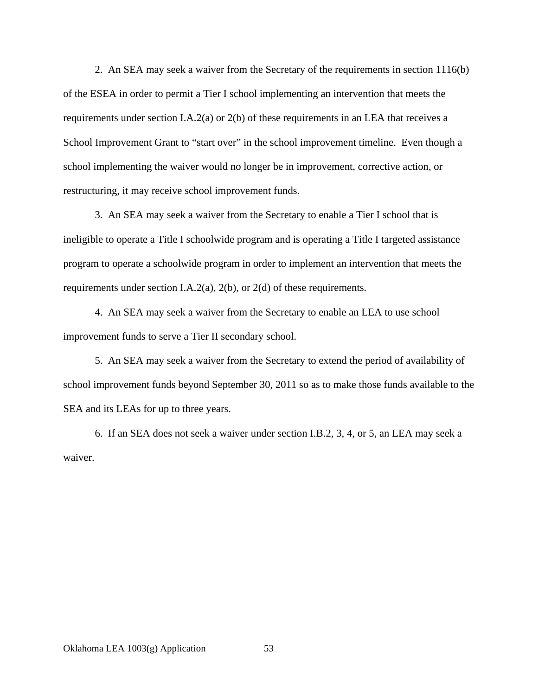2. An SEA may seek a waiver from the Secretary of the requirements in section 1116(b) of the ESEA in order to permit a Tier I school implementing an intervention that meets the requirements under section I.A.2(a) or 2(b) of these requirements in an LEA that receives a School Improvement Grant to "start over" in the school improvement timeline. Even though a school implementing the waiver would no longer be in improvement, corrective action, or restructuring, it may receive school improvement funds.

3. An SEA may seek a waiver from the Secretary to enable a Tier I school that is ineligible to operate a Title I schoolwide program and is operating a Title I targeted assistance program to operate a schoolwide program in order to implement an intervention that meets the requirements under section I.A.2(a), 2(b), or 2(d) of these requirements.

4. An SEA may seek a waiver from the Secretary to enable an LEA to use school improvement funds to serve a Tier II secondary school.

5. An SEA may seek a waiver from the Secretary to extend the period of availability of school improvement funds beyond September 30, 2011 so as to make those funds available to the SEA and its LEAs for up to three years.

6. If an SEA does not seek a waiver under section I.B.2, 3, 4, or 5, an LEA may seek a waiver.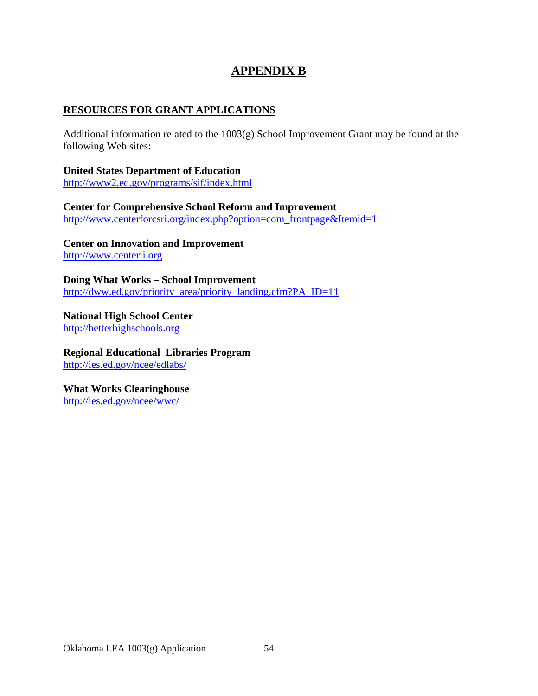# **APPENDIX B**

#### **RESOURCES FOR GRANT APPLICATIONS**

Additional information related to the 1003(g) School Improvement Grant may be found at the following Web sites:

**United States Department of Education**  http://www2.ed.gov/programs/sif/index.html

**Center for Comprehensive School Reform and Improvement**  http://www.centerforcsri.org/index.php?option=com\_frontpage&Itemid=1

**Center on Innovation and Improvement**  http://www.centerii.org

**Doing What Works – School Improvement**  http://dww.ed.gov/priority\_area/priority\_landing.cfm?PA\_ID=11

**National High School Center**  http://betterhighschools.org

**Regional Educational Libraries Program**  http://ies.ed.gov/ncee/edlabs/

**What Works Clearinghouse**  http://ies.ed.gov/ncee/wwc/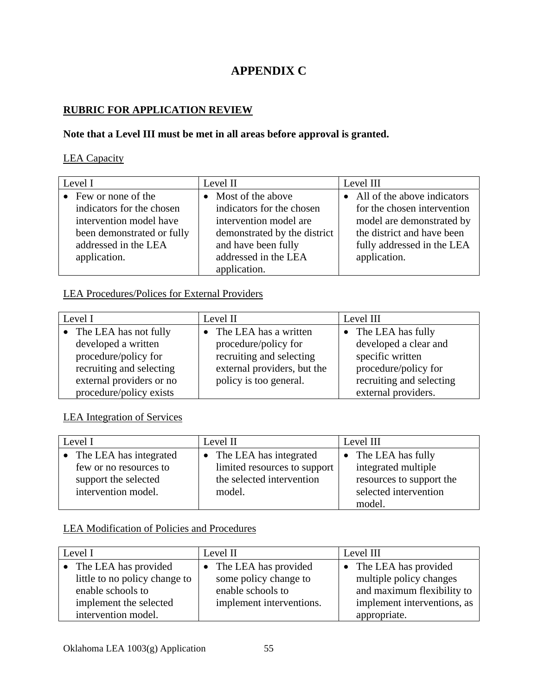# **APPENDIX C**

# **RUBRIC FOR APPLICATION REVIEW**

# **Note that a Level III must be met in all areas before approval is granted.**

#### LEA Capacity

| Level I                    | Level II                     | Level III                   |
|----------------------------|------------------------------|-----------------------------|
| • Few or none of the       | • Most of the above          | All of the above indicators |
| indicators for the chosen  | indicators for the chosen    | for the chosen intervention |
| intervention model have    | intervention model are       | model are demonstrated by   |
| been demonstrated or fully | demonstrated by the district | the district and have been  |
| addressed in the LEA       | and have been fully          | fully addressed in the LEA  |
| application.               | addressed in the LEA         | application.                |
|                            | application.                 |                             |

## LEA Procedures/Polices for External Providers

| Level I                  | Level II                    | Level III                |
|--------------------------|-----------------------------|--------------------------|
| The LEA has not fully    | The LEA has a written       | • The LEA has fully      |
| developed a written      | procedure/policy for        | developed a clear and    |
| procedure/policy for     | recruiting and selecting    | specific written         |
| recruiting and selecting | external providers, but the | procedure/policy for     |
| external providers or no | policy is too general.      | recruiting and selecting |
| procedure/policy exists  |                             | external providers.      |

# LEA Integration of Services

| Level I                  | Level II                     | Level III                |
|--------------------------|------------------------------|--------------------------|
| • The LEA has integrated | The LEA has integrated       | • The LEA has fully      |
| few or no resources to   | limited resources to support | integrated multiple      |
| support the selected     | the selected intervention    | resources to support the |
| intervention model.      | model.                       | selected intervention    |
|                          |                              | model.                   |

# LEA Modification of Policies and Procedures

| Level I                                                                      | Level II                                                           | Level III                                                                       |  |
|------------------------------------------------------------------------------|--------------------------------------------------------------------|---------------------------------------------------------------------------------|--|
| • The LEA has provided<br>little to no policy change to<br>enable schools to | The LEA has provided<br>some policy change to<br>enable schools to | • The LEA has provided<br>multiple policy changes<br>and maximum flexibility to |  |
| implement the selected<br>intervention model.                                | implement interventions.                                           | implement interventions, as<br>appropriate.                                     |  |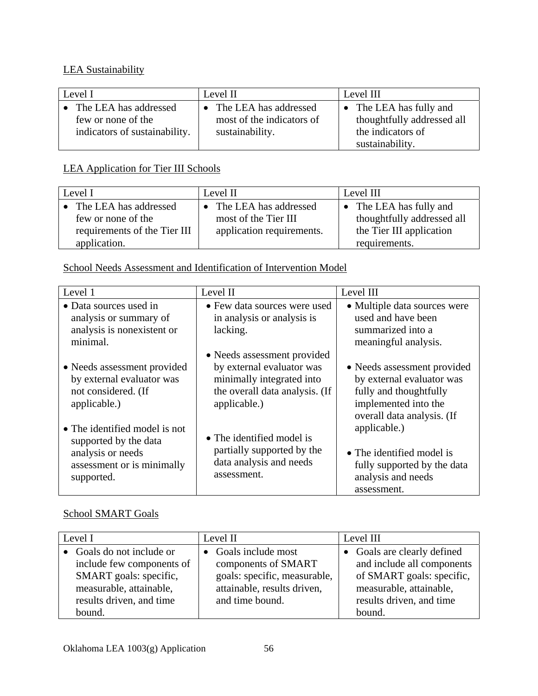# LEA Sustainability

| Level I                                                                      | Level II                                                                | Level III                                                                                                   |  |
|------------------------------------------------------------------------------|-------------------------------------------------------------------------|-------------------------------------------------------------------------------------------------------------|--|
| The LEA has addressed<br>few or none of the<br>indicators of sustainability. | • The LEA has addressed<br>most of the indicators of<br>sustainability. | The LEA has fully and<br>$\mathbf{r}$<br>thoughtfully addressed all<br>the indicators of<br>sustainability. |  |

# LEA Application for Tier III Schools

| Level I                      | Level II                  | Level III                  |  |
|------------------------------|---------------------------|----------------------------|--|
| The LEA has addressed        | The LEA has addressed     | • The LEA has fully and    |  |
| few or none of the           | most of the Tier III      | thoughtfully addressed all |  |
| requirements of the Tier III | application requirements. | the Tier III application   |  |
| application.                 |                           | requirements.              |  |

# School Needs Assessment and Identification of Intervention Model

| Level 1                                                                                                                 | Level II                                                                                                                                | Level III                                                                                                                                |
|-------------------------------------------------------------------------------------------------------------------------|-----------------------------------------------------------------------------------------------------------------------------------------|------------------------------------------------------------------------------------------------------------------------------------------|
| • Data sources used in<br>analysis or summary of<br>analysis is nonexistent or<br>minimal.                              | • Few data sources were used<br>in analysis or analysis is<br>lacking.                                                                  | • Multiple data sources were<br>used and have been<br>summarized into a<br>meaningful analysis.                                          |
| • Needs assessment provided<br>by external evaluator was<br>not considered. (If<br>applicable.)                         | • Needs assessment provided<br>by external evaluator was<br>minimally integrated into<br>the overall data analysis. (If<br>applicable.) | • Needs assessment provided<br>by external evaluator was<br>fully and thoughtfully<br>implemented into the<br>overall data analysis. (If |
| • The identified model is not<br>supported by the data<br>analysis or needs<br>assessment or is minimally<br>supported. | • The identified model is<br>partially supported by the<br>data analysis and needs<br>assessment.                                       | applicable.)<br>• The identified model is<br>fully supported by the data<br>analysis and needs<br>assessment.                            |

# School SMART Goals

| Level I                                                                                                                                           | Level II                                                                                                                      | Level III                                                                                                                                               |  |
|---------------------------------------------------------------------------------------------------------------------------------------------------|-------------------------------------------------------------------------------------------------------------------------------|---------------------------------------------------------------------------------------------------------------------------------------------------------|--|
| • Goals do not include or<br>include few components of<br>SMART goals: specific,<br>measurable, attainable,<br>results driven, and time<br>bound. | • Goals include most<br>components of SMART<br>goals: specific, measurable,<br>attainable, results driven,<br>and time bound. | • Goals are clearly defined<br>and include all components<br>of SMART goals: specific,<br>measurable, attainable,<br>results driven, and time<br>bound. |  |